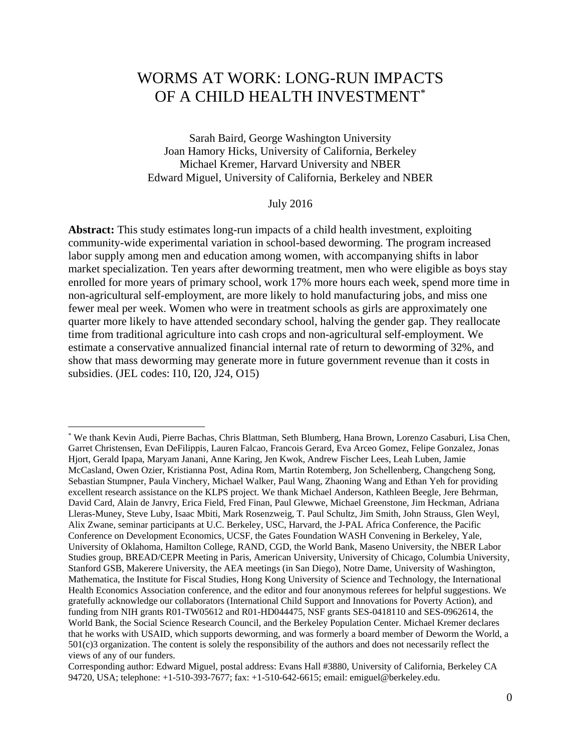# WORMS AT WORK: LONG-RUN IMPACTS OF A CHILD HEALTH INVESTMENT<sup>[\\*](#page-0-0)</sup>

Sarah Baird, George Washington University Joan Hamory Hicks, University of California, Berkeley Michael Kremer, Harvard University and NBER Edward Miguel, University of California, Berkeley and NBER

## July 2016

**Abstract:** This study estimates long-run impacts of a child health investment, exploiting community-wide experimental variation in school-based deworming. The program increased labor supply among men and education among women, with accompanying shifts in labor market specialization. Ten years after deworming treatment, men who were eligible as boys stay enrolled for more years of primary school, work 17% more hours each week, spend more time in non-agricultural self-employment, are more likely to hold manufacturing jobs, and miss one fewer meal per week. Women who were in treatment schools as girls are approximately one quarter more likely to have attended secondary school, halving the gender gap. They reallocate time from traditional agriculture into cash crops and non-agricultural self-employment. We estimate a conservative annualized financial internal rate of return to deworming of 32%, and show that mass deworming may generate more in future government revenue than it costs in subsidies. (JEL codes: I10, I20, J24, O15)

<span id="page-0-0"></span> <sup>\*</sup> We thank Kevin Audi, Pierre Bachas, Chris Blattman, Seth Blumberg, Hana Brown, Lorenzo Casaburi, Lisa Chen, Garret Christensen, Evan DeFilippis, Lauren Falcao, Francois Gerard, Eva Arceo Gomez, Felipe Gonzalez, Jonas Hjort, Gerald Ipapa, Maryam Janani, Anne Karing, Jen Kwok, Andrew Fischer Lees, Leah Luben, Jamie McCasland, Owen Ozier, Kristianna Post, Adina Rom, Martin Rotemberg, Jon Schellenberg, Changcheng Song, Sebastian Stumpner, Paula Vinchery, Michael Walker, Paul Wang, Zhaoning Wang and Ethan Yeh for providing excellent research assistance on the KLPS project. We thank Michael Anderson, Kathleen Beegle, Jere Behrman, David Card, Alain de Janvry, Erica Field, Fred Finan, Paul Glewwe, Michael Greenstone, Jim Heckman, Adriana Lleras-Muney, Steve Luby, Isaac Mbiti, Mark Rosenzweig, T. Paul Schultz, Jim Smith, John Strauss, Glen Weyl, Alix Zwane, seminar participants at U.C. Berkeley, USC, Harvard, the J-PAL Africa Conference, the Pacific Conference on Development Economics, UCSF, the Gates Foundation WASH Convening in Berkeley, Yale, University of Oklahoma, Hamilton College, RAND, CGD, the World Bank, Maseno University, the NBER Labor Studies group, BREAD/CEPR Meeting in Paris, American University, University of Chicago, Columbia University, Stanford GSB, Makerere University, the AEA meetings (in San Diego), Notre Dame, University of Washington, Mathematica, the Institute for Fiscal Studies, Hong Kong University of Science and Technology, the International Health Economics Association conference, and the editor and four anonymous referees for helpful suggestions. We gratefully acknowledge our collaborators (International Child Support and Innovations for Poverty Action), and funding from NIH grants R01-TW05612 and R01-HD044475, NSF grants SES-0418110 and SES-0962614, the World Bank, the Social Science Research Council, and the Berkeley Population Center. Michael Kremer declares that he works with USAID, which supports deworming, and was formerly a board member of Deworm the World, a 501(c)3 organization. The content is solely the responsibility of the authors and does not necessarily reflect the views of any of our funders.

Corresponding author: Edward Miguel, postal address: Evans Hall #3880, University of California, Berkeley CA 94720, USA; telephone: +1-510-393-7677; fax: +1-510-642-6615; email: emiguel@berkeley.edu.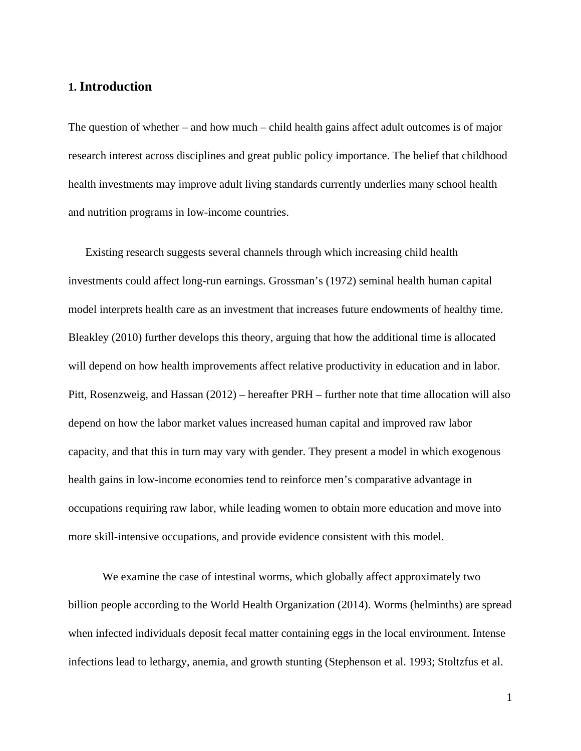# **1. Introduction**

The question of whether – and how much – child health gains affect adult outcomes is of major research interest across disciplines and great public policy importance. The belief that childhood health investments may improve adult living standards currently underlies many school health and nutrition programs in low-income countries.

Existing research suggests several channels through which increasing child health investments could affect long-run earnings. Grossman's (1972) seminal health human capital model interprets health care as an investment that increases future endowments of healthy time. Bleakley (2010) further develops this theory, arguing that how the additional time is allocated will depend on how health improvements affect relative productivity in education and in labor. Pitt, Rosenzweig, and Hassan (2012) – hereafter PRH – further note that time allocation will also depend on how the labor market values increased human capital and improved raw labor capacity, and that this in turn may vary with gender. They present a model in which exogenous health gains in low-income economies tend to reinforce men's comparative advantage in occupations requiring raw labor, while leading women to obtain more education and move into more skill-intensive occupations, and provide evidence consistent with this model.

We examine the case of intestinal worms, which globally affect approximately two billion people according to the World Health Organization (2014). Worms (helminths) are spread when infected individuals deposit fecal matter containing eggs in the local environment. Intense infections lead to lethargy, anemia, and growth stunting (Stephenson et al. 1993; Stoltzfus et al.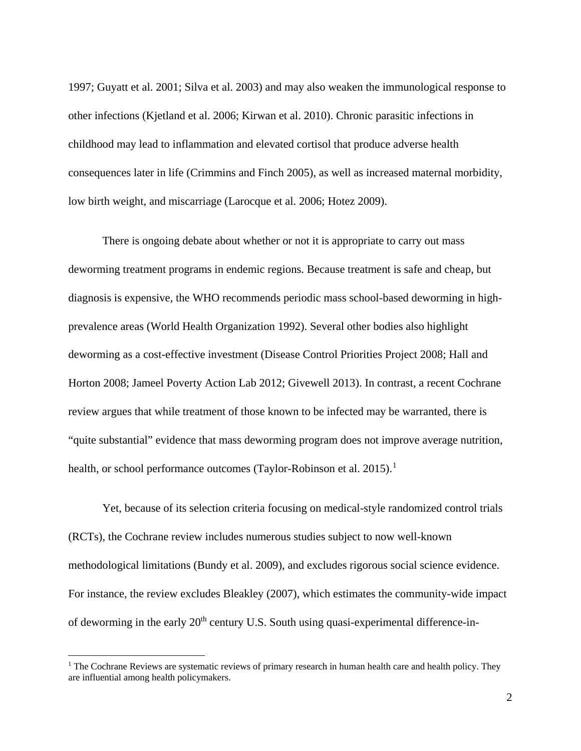1997; Guyatt et al. 2001; Silva et al. 2003) and may also weaken the immunological response to other infections (Kjetland et al. 2006; Kirwan et al. 2010). Chronic parasitic infections in childhood may lead to inflammation and elevated cortisol that produce adverse health consequences later in life (Crimmins and Finch 2005), as well as increased maternal morbidity, low birth weight, and miscarriage (Larocque et al. 2006; Hotez 2009).

There is ongoing debate about whether or not it is appropriate to carry out mass deworming treatment programs in endemic regions. Because treatment is safe and cheap, but diagnosis is expensive, the WHO recommends periodic mass school-based deworming in highprevalence areas (World Health Organization 1992). Several other bodies also highlight deworming as a cost-effective investment (Disease Control Priorities Project 2008; Hall and Horton 2008; Jameel Poverty Action Lab 2012; Givewell 2013). In contrast, a recent Cochrane review argues that while treatment of those known to be infected may be warranted, there is "quite substantial" evidence that mass deworming program does not improve average nutrition, health, or school performance outcomes (Taylor-Robinson et al. 20[1](#page-2-0)5).<sup>1</sup>

Yet, because of its selection criteria focusing on medical-style randomized control trials (RCTs), the Cochrane review includes numerous studies subject to now well-known methodological limitations (Bundy et al. 2009), and excludes rigorous social science evidence. For instance, the review excludes Bleakley (2007), which estimates the community-wide impact of deworming in the early  $20<sup>th</sup>$  century U.S. South using quasi-experimental difference-in-

<span id="page-2-0"></span><sup>&</sup>lt;sup>1</sup> The Cochrane Reviews are systematic reviews of primary research in human health care and health policy. They are influential among health policymakers.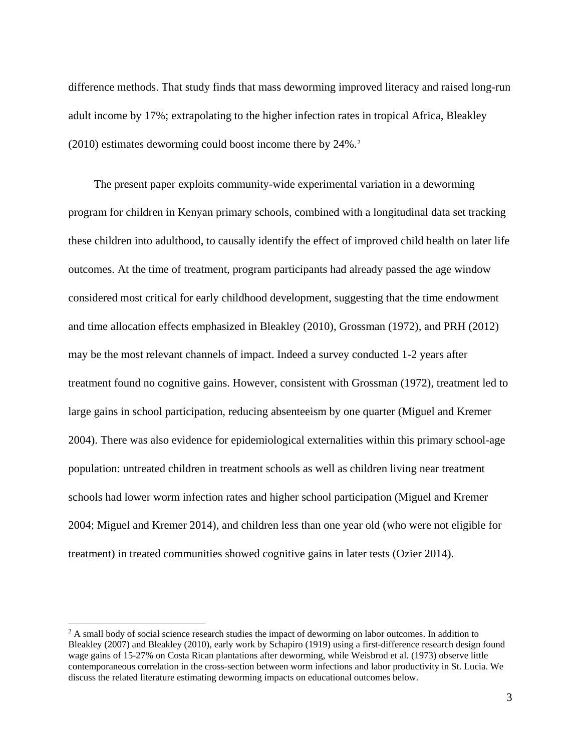difference methods. That study finds that mass deworming improved literacy and raised long-run adult income by 17%; extrapolating to the higher infection rates in tropical Africa, Bleakley (2010) estimates deworming could boost income there by 24%.[2](#page-3-0)

The present paper exploits community-wide experimental variation in a deworming program for children in Kenyan primary schools, combined with a longitudinal data set tracking these children into adulthood, to causally identify the effect of improved child health on later life outcomes. At the time of treatment, program participants had already passed the age window considered most critical for early childhood development, suggesting that the time endowment and time allocation effects emphasized in Bleakley (2010), Grossman (1972), and PRH (2012) may be the most relevant channels of impact. Indeed a survey conducted 1-2 years after treatment found no cognitive gains. However, consistent with Grossman (1972), treatment led to large gains in school participation, reducing absenteeism by one quarter (Miguel and Kremer 2004). There was also evidence for epidemiological externalities within this primary school-age population: untreated children in treatment schools as well as children living near treatment schools had lower worm infection rates and higher school participation (Miguel and Kremer 2004; Miguel and Kremer 2014), and children less than one year old (who were not eligible for treatment) in treated communities showed cognitive gains in later tests (Ozier 2014).

<span id="page-3-0"></span><sup>&</sup>lt;sup>2</sup> A small body of social science research studies the impact of deworming on labor outcomes. In addition to Bleakley (2007) and Bleakley (2010), early work by Schapiro (1919) using a first-difference research design found wage gains of 15-27% on Costa Rican plantations after deworming, while Weisbrod et al. (1973) observe little contemporaneous correlation in the cross-section between worm infections and labor productivity in St. Lucia. We discuss the related literature estimating deworming impacts on educational outcomes below.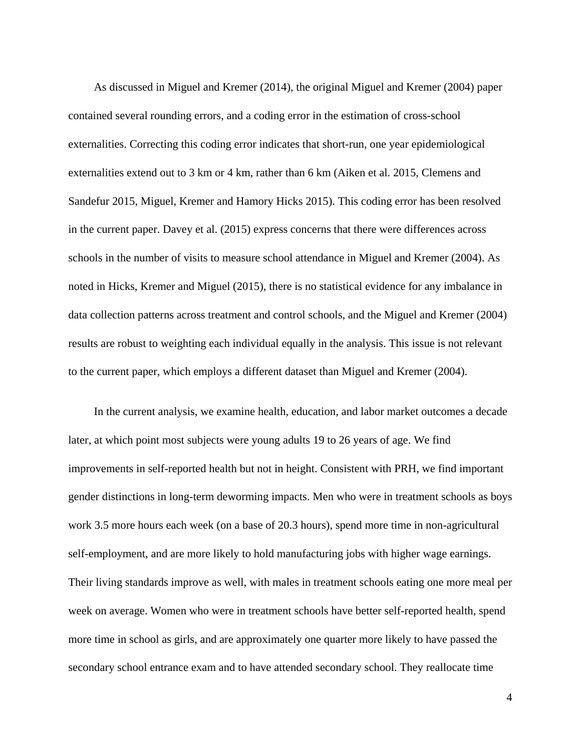As discussed in Miguel and Kremer (2014), the original Miguel and Kremer (2004) paper contained several rounding errors, and a coding error in the estimation of cross-school externalities. Correcting this coding error indicates that short-run, one year epidemiological externalities extend out to 3 km or 4 km, rather than 6 km (Aiken et al. 2015, Clemens and Sandefur 2015, Miguel, Kremer and Hamory Hicks 2015). This coding error has been resolved in the current paper. Davey et al. (2015) express concerns that there were differences across schools in the number of visits to measure school attendance in Miguel and Kremer (2004). As noted in Hicks, Kremer and Miguel (2015), there is no statistical evidence for any imbalance in data collection patterns across treatment and control schools, and the Miguel and Kremer (2004) results are robust to weighting each individual equally in the analysis. This issue is not relevant to the current paper, which employs a different dataset than Miguel and Kremer (2004).

In the current analysis, we examine health, education, and labor market outcomes a decade later, at which point most subjects were young adults 19 to 26 years of age. We find improvements in self-reported health but not in height. Consistent with PRH, we find important gender distinctions in long-term deworming impacts. Men who were in treatment schools as boys work 3.5 more hours each week (on a base of 20.3 hours), spend more time in non-agricultural self-employment, and are more likely to hold manufacturing jobs with higher wage earnings. Their living standards improve as well, with males in treatment schools eating one more meal per week on average. Women who were in treatment schools have better self-reported health, spend more time in school as girls, and are approximately one quarter more likely to have passed the secondary school entrance exam and to have attended secondary school. They reallocate time

4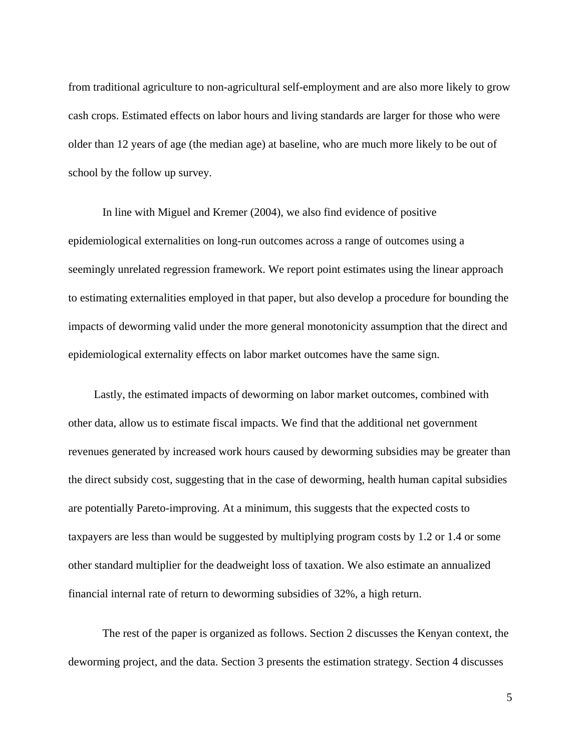from traditional agriculture to non-agricultural self-employment and are also more likely to grow cash crops. Estimated effects on labor hours and living standards are larger for those who were older than 12 years of age (the median age) at baseline, who are much more likely to be out of school by the follow up survey.

In line with Miguel and Kremer (2004), we also find evidence of positive epidemiological externalities on long-run outcomes across a range of outcomes using a seemingly unrelated regression framework. We report point estimates using the linear approach to estimating externalities employed in that paper, but also develop a procedure for bounding the impacts of deworming valid under the more general monotonicity assumption that the direct and epidemiological externality effects on labor market outcomes have the same sign.

Lastly, the estimated impacts of deworming on labor market outcomes, combined with other data, allow us to estimate fiscal impacts. We find that the additional net government revenues generated by increased work hours caused by deworming subsidies may be greater than the direct subsidy cost, suggesting that in the case of deworming, health human capital subsidies are potentially Pareto-improving. At a minimum, this suggests that the expected costs to taxpayers are less than would be suggested by multiplying program costs by 1.2 or 1.4 or some other standard multiplier for the deadweight loss of taxation. We also estimate an annualized financial internal rate of return to deworming subsidies of 32%, a high return.

The rest of the paper is organized as follows. Section 2 discusses the Kenyan context, the deworming project, and the data. Section 3 presents the estimation strategy. Section 4 discusses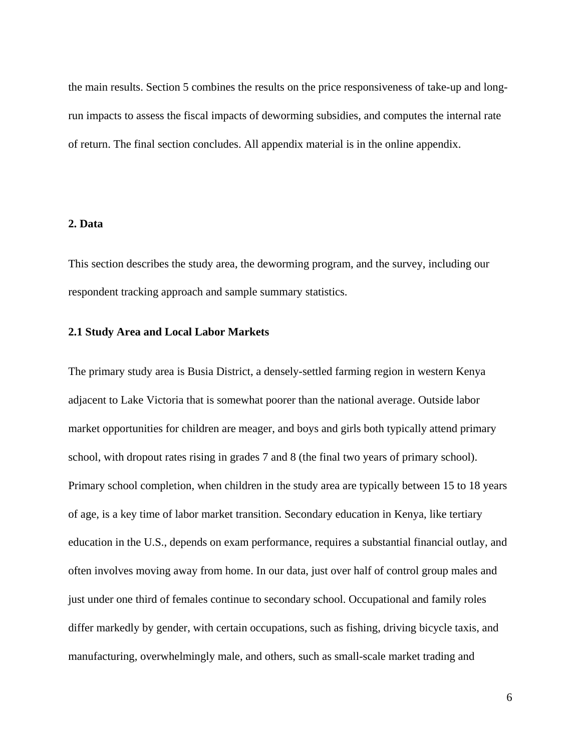the main results. Section 5 combines the results on the price responsiveness of take-up and longrun impacts to assess the fiscal impacts of deworming subsidies, and computes the internal rate of return. The final section concludes. All appendix material is in the online appendix.

## **2. Data**

This section describes the study area, the deworming program, and the survey, including our respondent tracking approach and sample summary statistics.

## **2.1 Study Area and Local Labor Markets**

The primary study area is Busia District, a densely-settled farming region in western Kenya adjacent to Lake Victoria that is somewhat poorer than the national average. Outside labor market opportunities for children are meager, and boys and girls both typically attend primary school, with dropout rates rising in grades 7 and 8 (the final two years of primary school). Primary school completion, when children in the study area are typically between 15 to 18 years of age, is a key time of labor market transition. Secondary education in Kenya, like tertiary education in the U.S., depends on exam performance, requires a substantial financial outlay, and often involves moving away from home. In our data, just over half of control group males and just under one third of females continue to secondary school. Occupational and family roles differ markedly by gender, with certain occupations, such as fishing, driving bicycle taxis, and manufacturing, overwhelmingly male, and others, such as small-scale market trading and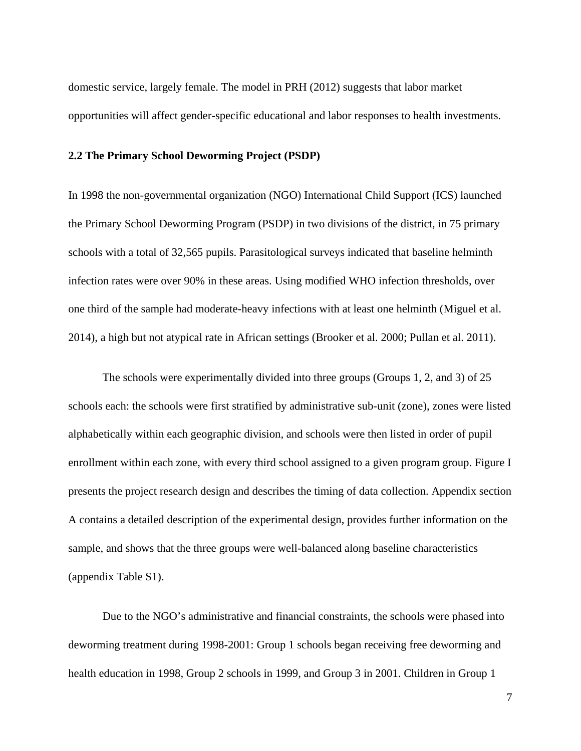domestic service, largely female. The model in PRH (2012) suggests that labor market opportunities will affect gender-specific educational and labor responses to health investments.

#### **2.2 The Primary School Deworming Project (PSDP)**

In 1998 the non-governmental organization (NGO) International Child Support (ICS) launched the Primary School Deworming Program (PSDP) in two divisions of the district, in 75 primary schools with a total of 32,565 pupils. Parasitological surveys indicated that baseline helminth infection rates were over 90% in these areas. Using modified WHO infection thresholds, over one third of the sample had moderate-heavy infections with at least one helminth (Miguel et al. 2014), a high but not atypical rate in African settings (Brooker et al. 2000; Pullan et al. 2011).

The schools were experimentally divided into three groups (Groups 1, 2, and 3) of 25 schools each: the schools were first stratified by administrative sub-unit (zone), zones were listed alphabetically within each geographic division, and schools were then listed in order of pupil enrollment within each zone, with every third school assigned to a given program group. Figure I presents the project research design and describes the timing of data collection. Appendix section A contains a detailed description of the experimental design, provides further information on the sample, and shows that the three groups were well-balanced along baseline characteristics (appendix Table S1).

Due to the NGO's administrative and financial constraints, the schools were phased into deworming treatment during 1998-2001: Group 1 schools began receiving free deworming and health education in 1998, Group 2 schools in 1999, and Group 3 in 2001. Children in Group 1

7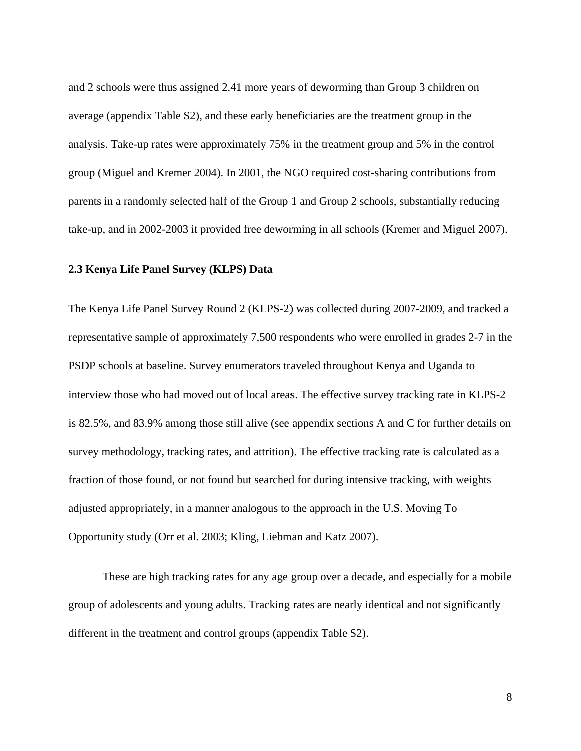and 2 schools were thus assigned 2.41 more years of deworming than Group 3 children on average (appendix Table S2), and these early beneficiaries are the treatment group in the analysis. Take-up rates were approximately 75% in the treatment group and 5% in the control group (Miguel and Kremer 2004). In 2001, the NGO required cost-sharing contributions from parents in a randomly selected half of the Group 1 and Group 2 schools, substantially reducing take-up, and in 2002-2003 it provided free deworming in all schools (Kremer and Miguel 2007).

## **2.3 Kenya Life Panel Survey (KLPS) Data**

The Kenya Life Panel Survey Round 2 (KLPS-2) was collected during 2007-2009, and tracked a representative sample of approximately 7,500 respondents who were enrolled in grades 2-7 in the PSDP schools at baseline. Survey enumerators traveled throughout Kenya and Uganda to interview those who had moved out of local areas. The effective survey tracking rate in KLPS-2 is 82.5%, and 83.9% among those still alive (see appendix sections A and C for further details on survey methodology, tracking rates, and attrition). The effective tracking rate is calculated as a fraction of those found, or not found but searched for during intensive tracking, with weights adjusted appropriately, in a manner analogous to the approach in the U.S. Moving To Opportunity study (Orr et al. 2003; Kling, Liebman and Katz 2007).

These are high tracking rates for any age group over a decade, and especially for a mobile group of adolescents and young adults. Tracking rates are nearly identical and not significantly different in the treatment and control groups (appendix Table S2).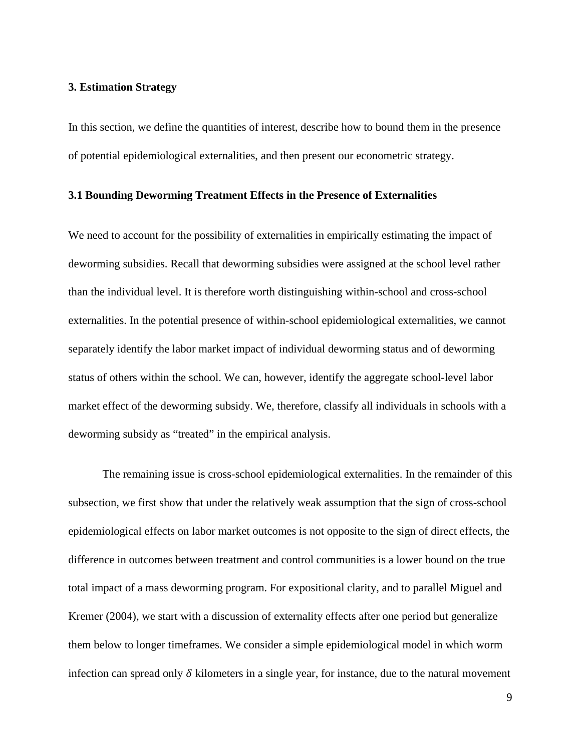## **3. Estimation Strategy**

In this section, we define the quantities of interest, describe how to bound them in the presence of potential epidemiological externalities, and then present our econometric strategy.

## **3.1 Bounding Deworming Treatment Effects in the Presence of Externalities**

We need to account for the possibility of externalities in empirically estimating the impact of deworming subsidies. Recall that deworming subsidies were assigned at the school level rather than the individual level. It is therefore worth distinguishing within-school and cross-school externalities. In the potential presence of within-school epidemiological externalities, we cannot separately identify the labor market impact of individual deworming status and of deworming status of others within the school. We can, however, identify the aggregate school-level labor market effect of the deworming subsidy. We, therefore, classify all individuals in schools with a deworming subsidy as "treated" in the empirical analysis.

The remaining issue is cross-school epidemiological externalities. In the remainder of this subsection, we first show that under the relatively weak assumption that the sign of cross-school epidemiological effects on labor market outcomes is not opposite to the sign of direct effects, the difference in outcomes between treatment and control communities is a lower bound on the true total impact of a mass deworming program. For expositional clarity, and to parallel Miguel and Kremer (2004), we start with a discussion of externality effects after one period but generalize them below to longer timeframes. We consider a simple epidemiological model in which worm infection can spread only  $\delta$  kilometers in a single year, for instance, due to the natural movement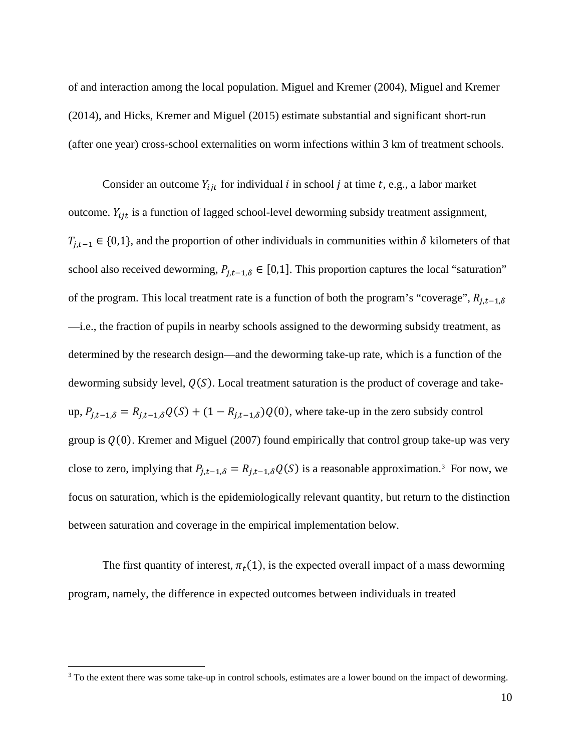of and interaction among the local population. Miguel and Kremer (2004), Miguel and Kremer (2014), and Hicks, Kremer and Miguel (2015) estimate substantial and significant short-run (after one year) cross-school externalities on worm infections within 3 km of treatment schools.

Consider an outcome  $Y_{ijt}$  for individual *i* in school *j* at time *t*, e.g., a labor market outcome.  $Y_{ijt}$  is a function of lagged school-level deworming subsidy treatment assignment,  $T_{j,t-1} \in \{0,1\}$ , and the proportion of other individuals in communities within  $\delta$  kilometers of that school also received deworming,  $P_{i,t-1,\delta} \in [0,1]$ . This proportion captures the local "saturation" of the program. This local treatment rate is a function of both the program's "coverage",  $R_{j,t-1,\delta}$ —i.e., the fraction of pupils in nearby schools assigned to the deworming subsidy treatment, as determined by the research design—and the deworming take-up rate, which is a function of the deworming subsidy level,  $Q(S)$ . Local treatment saturation is the product of coverage and takeup,  $P_{i,t-1,\delta} = R_{i,t-1,\delta}Q(S) + (1 - R_{i,t-1,\delta})Q(0)$ , where take-up in the zero subsidy control group is  $Q(0)$ . Kremer and Miguel (2007) found empirically that control group take-up was very close to zero, implying that  $P_{i,t-1,\delta} = R_{i,t-1,\delta} Q(S)$  is a reasonable approximation.<sup>[3](#page-10-0)</sup> For now, we focus on saturation, which is the epidemiologically relevant quantity, but return to the distinction between saturation and coverage in the empirical implementation below.

The first quantity of interest,  $\pi_t(1)$ , is the expected overall impact of a mass deworming program, namely, the difference in expected outcomes between individuals in treated

<span id="page-10-0"></span><sup>&</sup>lt;sup>3</sup> To the extent there was some take-up in control schools, estimates are a lower bound on the impact of deworming.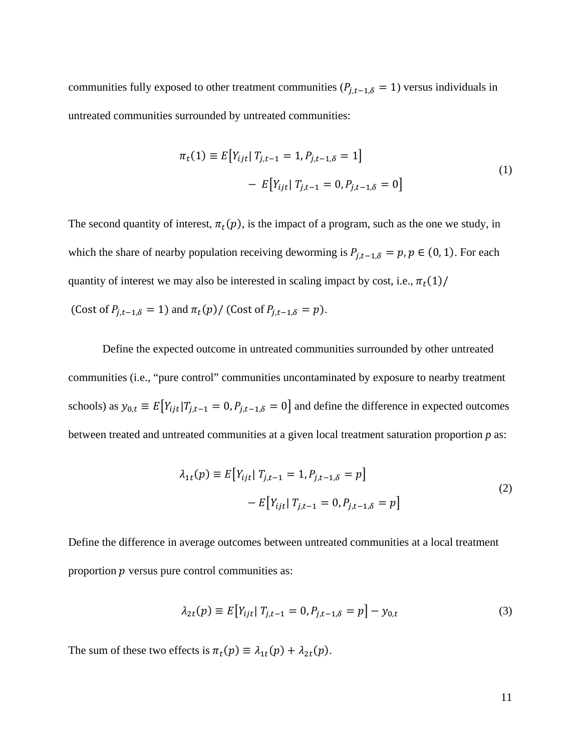communities fully exposed to other treatment communities ( $P_{i,t-1,\delta} = 1$ ) versus individuals in untreated communities surrounded by untreated communities:

$$
\pi_t(1) \equiv E[Y_{ijt} | T_{j,t-1} = 1, P_{j,t-1,\delta} = 1]
$$
  
- 
$$
E[Y_{ijt} | T_{j,t-1} = 0, P_{j,t-1,\delta} = 0]
$$
 (1)

The second quantity of interest,  $\pi_t(p)$ , is the impact of a program, such as the one we study, in which the share of nearby population receiving deworming is  $P_{j,t-1,\delta} = p, p \in (0, 1)$ . For each quantity of interest we may also be interested in scaling impact by cost, i.e.,  $\pi_t(1)$ /

(Cost of  $P_{i,t-1,\delta} = 1$ ) and  $\pi_t(p)$ / (Cost of  $P_{i,t-1,\delta} = p$ ).

Define the expected outcome in untreated communities surrounded by other untreated communities (i.e., "pure control" communities uncontaminated by exposure to nearby treatment schools) as  $y_{0,t} \equiv E[Y_{ijt} | T_{j,t-1} = 0, P_{j,t-1,\delta} = 0]$  and define the difference in expected outcomes between treated and untreated communities at a given local treatment saturation proportion *p* as:

$$
\lambda_{1t}(p) \equiv E[Y_{ijt} | T_{j,t-1} = 1, P_{j,t-1,\delta} = p]
$$
  
- 
$$
E[Y_{ijt} | T_{j,t-1} = 0, P_{j,t-1,\delta} = p]
$$
 (2)

Define the difference in average outcomes between untreated communities at a local treatment proportion  $p$  versus pure control communities as:

$$
\lambda_{2t}(p) \equiv E[Y_{ijt} | T_{j,t-1} = 0, P_{j,t-1,\delta} = p] - y_{0,t} \tag{3}
$$

The sum of these two effects is  $\pi_t(p) \equiv \lambda_{1t}(p) + \lambda_{2t}(p)$ .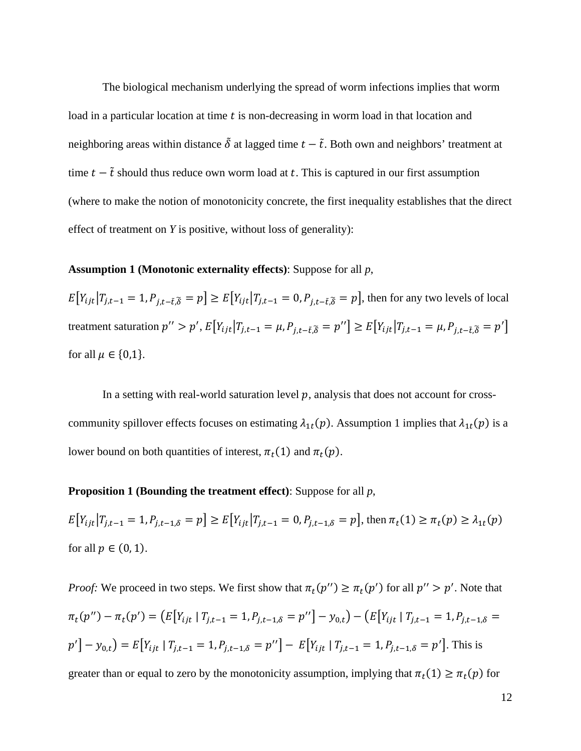The biological mechanism underlying the spread of worm infections implies that worm load in a particular location at time  $t$  is non-decreasing in worm load in that location and neighboring areas within distance  $\tilde{\delta}$  at lagged time  $t - \tilde{t}$ . Both own and neighbors' treatment at time  $t - \tilde{t}$  should thus reduce own worm load at t. This is captured in our first assumption (where to make the notion of monotonicity concrete, the first inequality establishes that the direct effect of treatment on *Y* is positive, without loss of generality):

## **Assumption 1 (Monotonic externality effects)**: Suppose for all *p*,

 $E[Y_{i,j}|T_{j,t-1} = 1, P_{j,t-\tilde{t},\tilde{\delta}} = p] \ge E[Y_{i,j}|T_{j,t-1} = 0, P_{j,t-\tilde{t},\tilde{\delta}} = p]$ , then for any two levels of local treatment saturation  $p'' > p'$ ,  $E[Y_{ijt} | T_{j,t-1} = \mu, P_{j,t-\tilde{t},\tilde{\delta}} = p''] \ge E[Y_{ijt} | T_{j,t-1} = \mu, P_{j,t-\tilde{t},\tilde{\delta}} = p']$ for all  $\mu \in \{0,1\}$ .

In a setting with real-world saturation level  $p$ , analysis that does not account for crosscommunity spillover effects focuses on estimating  $\lambda_{1t}(p)$ . Assumption 1 implies that  $\lambda_{1t}(p)$  is a lower bound on both quantities of interest,  $\pi_t(1)$  and  $\pi_t(p)$ .

## **Proposition 1 (Bounding the treatment effect)**: Suppose for all *p*,

 $E[Y_{ijt} | T_{j,t-1} = 1, P_{j,t-1,\delta} = p] \ge E[Y_{ijt} | T_{j,t-1} = 0, P_{j,t-1,\delta} = p]$ , then  $\pi_t(1) \ge \pi_t(p) \ge \lambda_{1t}(p)$ for all  $p \in (0, 1)$ .

*Proof:* We proceed in two steps. We first show that  $\pi_t(p'') \geq \pi_t(p')$  for all  $p'' > p'$ . Note that  $\pi_t(p'') - \pi_t(p') = (E[Y_{ijt} | T_{j,t-1} = 1, P_{j,t-1,\delta} = p''] - y_{0,t}) - (E[Y_{ijt} | T_{j,t-1} = 1, P_{j,t-1,\delta} = p''] - y_{0,t})$  $p'$ ]  $-y_{0,t}$ ) =  $E[Y_{ijt} | T_{j,t-1} = 1, P_{j,t-1,\delta} = p''] - E[Y_{ijt} | T_{j,t-1} = 1, P_{j,t-1,\delta} = p']$ . This is greater than or equal to zero by the monotonicity assumption, implying that  $\pi_t(1) \geq \pi_t(p)$  for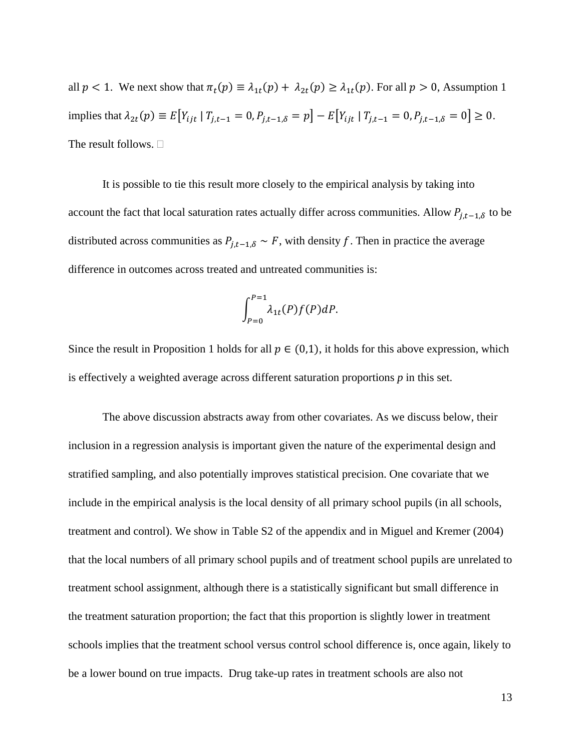all  $p < 1$ . We next show that  $\pi_t(p) \equiv \lambda_{1t}(p) + \lambda_{2t}(p) \geq \lambda_{1t}(p)$ . For all  $p > 0$ , Assumption 1 implies that  $\lambda_{2t}(p) \equiv E[Y_{ijt} | T_{j,t-1} = 0, P_{j,t-1,\delta} = p] - E[Y_{ijt} | T_{j,t-1} = 0, P_{j,t-1,\delta} = 0] \ge 0.$ The result follows.  $\square$ 

It is possible to tie this result more closely to the empirical analysis by taking into account the fact that local saturation rates actually differ across communities. Allow  $P_{j,t-1,\delta}$  to be distributed across communities as  $P_{j,t-1,\delta} \sim F$ , with density f. Then in practice the average difference in outcomes across treated and untreated communities is:

$$
\int_{P=0}^{P=1} \lambda_{1t}(P)f(P)dP.
$$

Since the result in Proposition 1 holds for all  $p \in (0,1)$ , it holds for this above expression, which is effectively a weighted average across different saturation proportions *p* in this set.

The above discussion abstracts away from other covariates. As we discuss below, their inclusion in a regression analysis is important given the nature of the experimental design and stratified sampling, and also potentially improves statistical precision. One covariate that we include in the empirical analysis is the local density of all primary school pupils (in all schools, treatment and control). We show in Table S2 of the appendix and in Miguel and Kremer (2004) that the local numbers of all primary school pupils and of treatment school pupils are unrelated to treatment school assignment, although there is a statistically significant but small difference in the treatment saturation proportion; the fact that this proportion is slightly lower in treatment schools implies that the treatment school versus control school difference is, once again, likely to be a lower bound on true impacts. Drug take-up rates in treatment schools are also not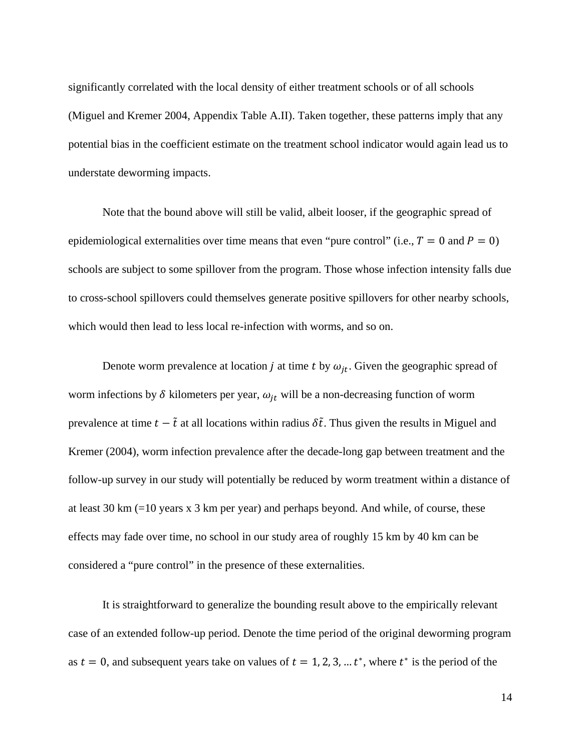significantly correlated with the local density of either treatment schools or of all schools (Miguel and Kremer 2004, Appendix Table A.II). Taken together, these patterns imply that any potential bias in the coefficient estimate on the treatment school indicator would again lead us to understate deworming impacts.

Note that the bound above will still be valid, albeit looser, if the geographic spread of epidemiological externalities over time means that even "pure control" (i.e.,  $T = 0$  and  $P = 0$ ) schools are subject to some spillover from the program. Those whose infection intensity falls due to cross-school spillovers could themselves generate positive spillovers for other nearby schools, which would then lead to less local re-infection with worms, and so on.

Denote worm prevalence at location *j* at time *t* by  $\omega_{it}$ . Given the geographic spread of worm infections by  $\delta$  kilometers per year,  $\omega_{it}$  will be a non-decreasing function of worm prevalence at time  $t - \tilde{t}$  at all locations within radius  $\delta \tilde{t}$ . Thus given the results in Miguel and Kremer (2004), worm infection prevalence after the decade-long gap between treatment and the follow-up survey in our study will potentially be reduced by worm treatment within a distance of at least  $30 \text{ km } (=10 \text{ years } x \text{ 3 km per year})$  and perhaps beyond. And while, of course, these effects may fade over time, no school in our study area of roughly 15 km by 40 km can be considered a "pure control" in the presence of these externalities.

It is straightforward to generalize the bounding result above to the empirically relevant case of an extended follow-up period. Denote the time period of the original deworming program as  $t = 0$ , and subsequent years take on values of  $t = 1, 2, 3, ... t^*$ , where  $t^*$  is the period of the

14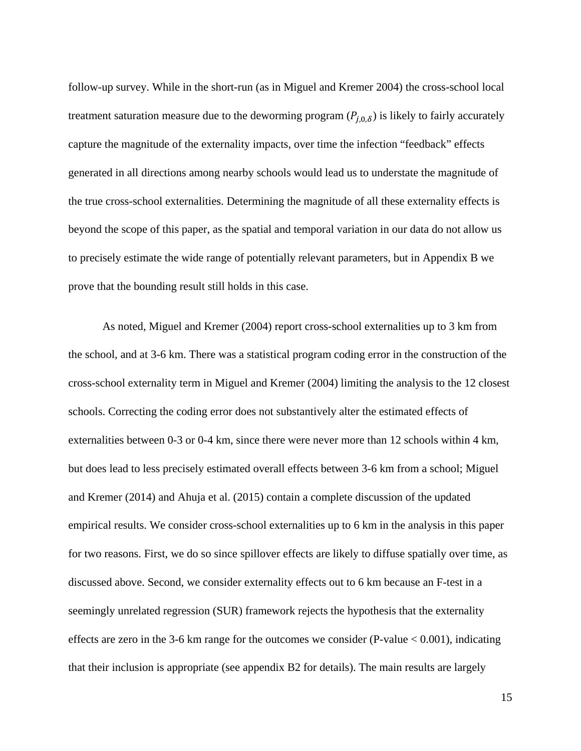follow-up survey. While in the short-run (as in Miguel and Kremer 2004) the cross-school local treatment saturation measure due to the deworming program  $(P_{i,0,\delta})$  is likely to fairly accurately capture the magnitude of the externality impacts, over time the infection "feedback" effects generated in all directions among nearby schools would lead us to understate the magnitude of the true cross-school externalities. Determining the magnitude of all these externality effects is beyond the scope of this paper, as the spatial and temporal variation in our data do not allow us to precisely estimate the wide range of potentially relevant parameters, but in Appendix B we prove that the bounding result still holds in this case.

As noted, Miguel and Kremer (2004) report cross-school externalities up to 3 km from the school, and at 3-6 km. There was a statistical program coding error in the construction of the cross-school externality term in Miguel and Kremer (2004) limiting the analysis to the 12 closest schools. Correcting the coding error does not substantively alter the estimated effects of externalities between 0-3 or 0-4 km, since there were never more than 12 schools within 4 km, but does lead to less precisely estimated overall effects between 3-6 km from a school; Miguel and Kremer (2014) and Ahuja et al. (2015) contain a complete discussion of the updated empirical results. We consider cross-school externalities up to 6 km in the analysis in this paper for two reasons. First, we do so since spillover effects are likely to diffuse spatially over time, as discussed above. Second, we consider externality effects out to 6 km because an F-test in a seemingly unrelated regression (SUR) framework rejects the hypothesis that the externality effects are zero in the 3-6 km range for the outcomes we consider (P-value  $< 0.001$ ), indicating that their inclusion is appropriate (see appendix B2 for details). The main results are largely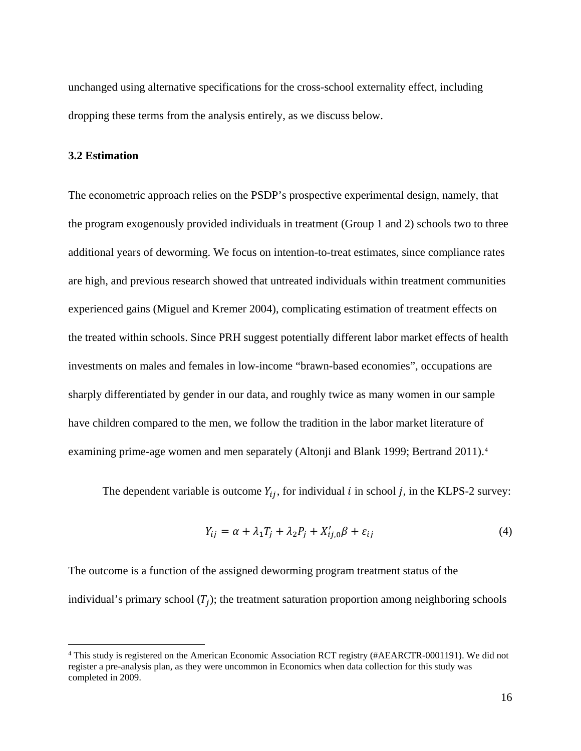unchanged using alternative specifications for the cross-school externality effect, including dropping these terms from the analysis entirely, as we discuss below.

## **3.2 Estimation**

The econometric approach relies on the PSDP's prospective experimental design, namely, that the program exogenously provided individuals in treatment (Group 1 and 2) schools two to three additional years of deworming. We focus on intention-to-treat estimates, since compliance rates are high, and previous research showed that untreated individuals within treatment communities experienced gains (Miguel and Kremer 2004), complicating estimation of treatment effects on the treated within schools. Since PRH suggest potentially different labor market effects of health investments on males and females in low-income "brawn-based economies", occupations are sharply differentiated by gender in our data, and roughly twice as many women in our sample have children compared to the men, we follow the tradition in the labor market literature of examining prime-age women and men separately (Altonji and Blank 1999; Bertrand 2011).<sup>[4](#page-16-0)</sup>

The dependent variable is outcome  $Y_{ij}$ , for individual *i* in school *j*, in the KLPS-2 survey:

$$
Y_{ij} = \alpha + \lambda_1 T_j + \lambda_2 P_j + X'_{ij,0} \beta + \varepsilon_{ij}
$$
\n<sup>(4)</sup>

The outcome is a function of the assigned deworming program treatment status of the individual's primary school  $(T_i)$ ; the treatment saturation proportion among neighboring schools

<span id="page-16-0"></span> <sup>4</sup> This study is registered on the American Economic Association RCT registry (#AEARCTR-0001191). We did not register a pre-analysis plan, as they were uncommon in Economics when data collection for this study was completed in 2009.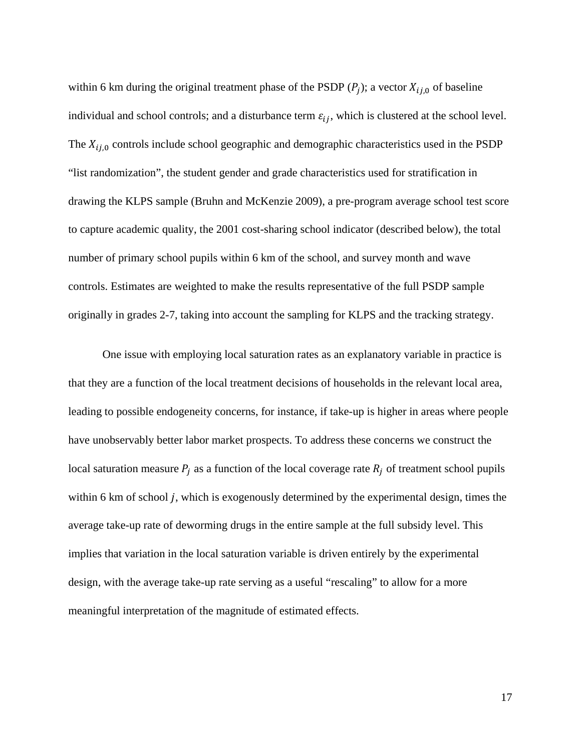within 6 km during the original treatment phase of the PSDP  $(P_i)$ ; a vector  $X_{i,i,0}$  of baseline individual and school controls; and a disturbance term  $\varepsilon_{ij}$ , which is clustered at the school level. The  $X_{ij,0}$  controls include school geographic and demographic characteristics used in the PSDP "list randomization", the student gender and grade characteristics used for stratification in drawing the KLPS sample (Bruhn and McKenzie 2009), a pre-program average school test score to capture academic quality, the 2001 cost-sharing school indicator (described below), the total number of primary school pupils within 6 km of the school, and survey month and wave controls. Estimates are weighted to make the results representative of the full PSDP sample originally in grades 2-7, taking into account the sampling for KLPS and the tracking strategy.

One issue with employing local saturation rates as an explanatory variable in practice is that they are a function of the local treatment decisions of households in the relevant local area, leading to possible endogeneity concerns, for instance, if take-up is higher in areas where people have unobservably better labor market prospects. To address these concerns we construct the local saturation measure  $P_i$  as a function of the local coverage rate  $R_i$  of treatment school pupils within 6 km of school  $j$ , which is exogenously determined by the experimental design, times the average take-up rate of deworming drugs in the entire sample at the full subsidy level. This implies that variation in the local saturation variable is driven entirely by the experimental design, with the average take-up rate serving as a useful "rescaling" to allow for a more meaningful interpretation of the magnitude of estimated effects.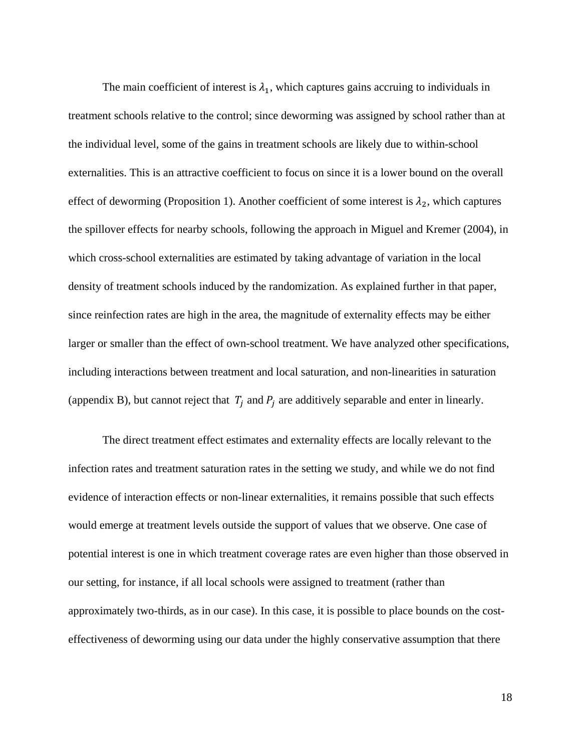The main coefficient of interest is  $\lambda_1$ , which captures gains accruing to individuals in treatment schools relative to the control; since deworming was assigned by school rather than at the individual level, some of the gains in treatment schools are likely due to within-school externalities. This is an attractive coefficient to focus on since it is a lower bound on the overall effect of deworming (Proposition 1). Another coefficient of some interest is  $\lambda_2$ , which captures the spillover effects for nearby schools, following the approach in Miguel and Kremer (2004), in which cross-school externalities are estimated by taking advantage of variation in the local density of treatment schools induced by the randomization. As explained further in that paper, since reinfection rates are high in the area, the magnitude of externality effects may be either larger or smaller than the effect of own-school treatment. We have analyzed other specifications, including interactions between treatment and local saturation, and non-linearities in saturation (appendix B), but cannot reject that  $T_i$  and  $P_i$  are additively separable and enter in linearly.

The direct treatment effect estimates and externality effects are locally relevant to the infection rates and treatment saturation rates in the setting we study, and while we do not find evidence of interaction effects or non-linear externalities, it remains possible that such effects would emerge at treatment levels outside the support of values that we observe. One case of potential interest is one in which treatment coverage rates are even higher than those observed in our setting, for instance, if all local schools were assigned to treatment (rather than approximately two-thirds, as in our case). In this case, it is possible to place bounds on the costeffectiveness of deworming using our data under the highly conservative assumption that there

18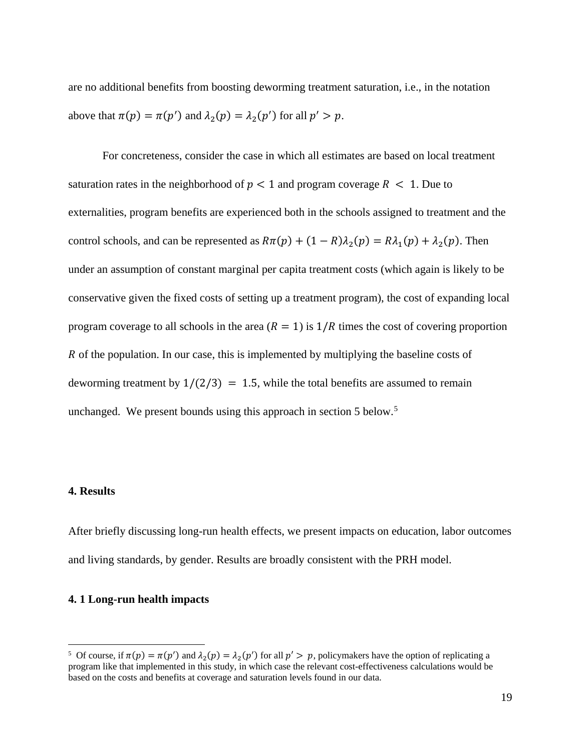are no additional benefits from boosting deworming treatment saturation, i.e., in the notation above that  $\pi(p) = \pi(p')$  and  $\lambda_2(p) = \lambda_2(p')$  for all  $p' > p$ .

For concreteness, consider the case in which all estimates are based on local treatment saturation rates in the neighborhood of  $p < 1$  and program coverage  $R < 1$ . Due to externalities, program benefits are experienced both in the schools assigned to treatment and the control schools, and can be represented as  $R\pi(p) + (1 - R)\lambda_2(p) = R\lambda_1(p) + \lambda_2(p)$ . Then under an assumption of constant marginal per capita treatment costs (which again is likely to be conservative given the fixed costs of setting up a treatment program), the cost of expanding local program coverage to all schools in the area  $(R = 1)$  is  $1/R$  times the cost of covering proportion  $R$  of the population. In our case, this is implemented by multiplying the baseline costs of deworming treatment by  $1/(2/3) = 1.5$ , while the total benefits are assumed to remain unchanged. We present bounds using this approach in section [5](#page-19-0) below.<sup>5</sup>

## **4. Results**

After briefly discussing long-run health effects, we present impacts on education, labor outcomes and living standards, by gender. Results are broadly consistent with the PRH model.

## **4. 1 Long-run health impacts**

<span id="page-19-0"></span><sup>-&</sup>lt;br>5 Of course, if  $\pi(p) = \pi(p')$  and  $\lambda_2(p) = \lambda_2(p')$  for all  $p' > p$ , policymakers have the option of replicating a program like that implemented in this study, in which case the relevant cost-effectiveness calculations would be based on the costs and benefits at coverage and saturation levels found in our data.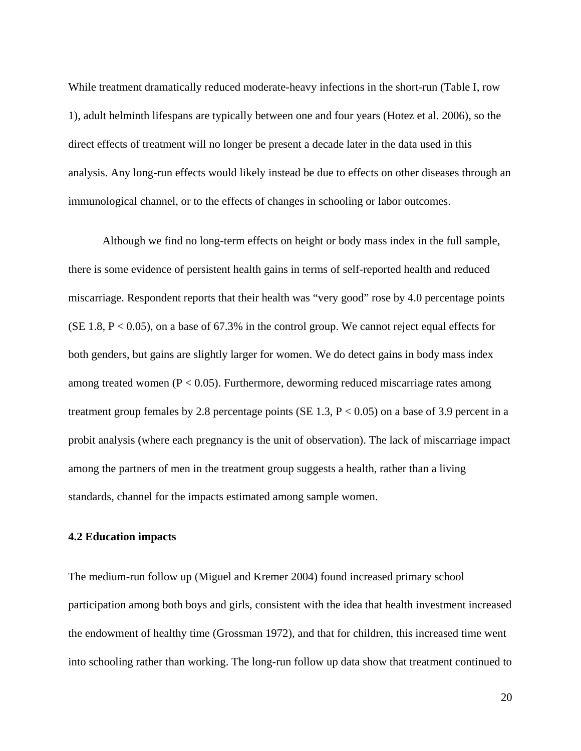While treatment dramatically reduced moderate-heavy infections in the short-run (Table I, row 1), adult helminth lifespans are typically between one and four years (Hotez et al. 2006), so the direct effects of treatment will no longer be present a decade later in the data used in this analysis. Any long-run effects would likely instead be due to effects on other diseases through an immunological channel, or to the effects of changes in schooling or labor outcomes.

Although we find no long-term effects on height or body mass index in the full sample, there is some evidence of persistent health gains in terms of self-reported health and reduced miscarriage. Respondent reports that their health was "very good" rose by 4.0 percentage points (SE 1.8,  $P < 0.05$ ), on a base of 67.3% in the control group. We cannot reject equal effects for both genders, but gains are slightly larger for women. We do detect gains in body mass index among treated women  $(P < 0.05)$ . Furthermore, deworming reduced miscarriage rates among treatment group females by 2.8 percentage points (SE 1.3,  $P < 0.05$ ) on a base of 3.9 percent in a probit analysis (where each pregnancy is the unit of observation). The lack of miscarriage impact among the partners of men in the treatment group suggests a health, rather than a living standards, channel for the impacts estimated among sample women.

## **4.2 Education impacts**

The medium-run follow up (Miguel and Kremer 2004) found increased primary school participation among both boys and girls, consistent with the idea that health investment increased the endowment of healthy time (Grossman 1972), and that for children, this increased time went into schooling rather than working. The long-run follow up data show that treatment continued to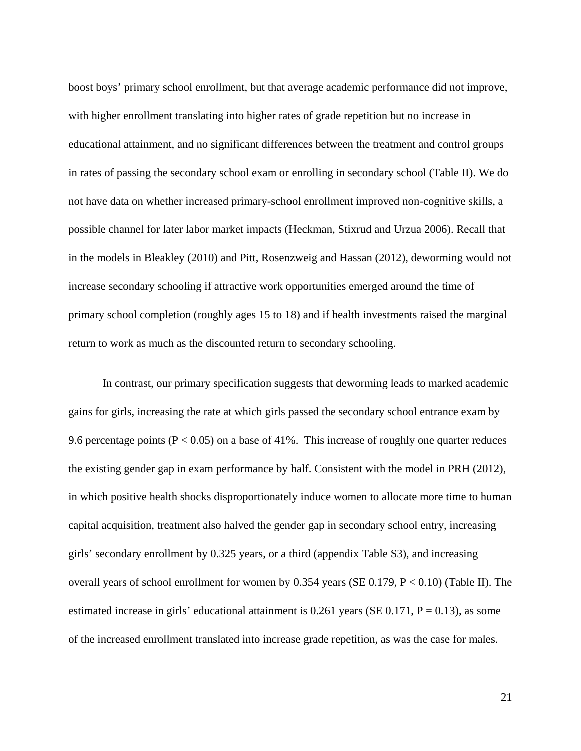boost boys' primary school enrollment, but that average academic performance did not improve, with higher enrollment translating into higher rates of grade repetition but no increase in educational attainment, and no significant differences between the treatment and control groups in rates of passing the secondary school exam or enrolling in secondary school (Table II). We do not have data on whether increased primary-school enrollment improved non-cognitive skills, a possible channel for later labor market impacts (Heckman, Stixrud and Urzua 2006). Recall that in the models in Bleakley (2010) and Pitt, Rosenzweig and Hassan (2012), deworming would not increase secondary schooling if attractive work opportunities emerged around the time of primary school completion (roughly ages 15 to 18) and if health investments raised the marginal return to work as much as the discounted return to secondary schooling.

In contrast, our primary specification suggests that deworming leads to marked academic gains for girls, increasing the rate at which girls passed the secondary school entrance exam by 9.6 percentage points ( $P < 0.05$ ) on a base of 41%. This increase of roughly one quarter reduces the existing gender gap in exam performance by half. Consistent with the model in PRH (2012), in which positive health shocks disproportionately induce women to allocate more time to human capital acquisition, treatment also halved the gender gap in secondary school entry, increasing girls' secondary enrollment by 0.325 years, or a third (appendix Table S3), and increasing overall years of school enrollment for women by 0.354 years (SE 0.179, P < 0.10) (Table II). The estimated increase in girls' educational attainment is 0.261 years (SE 0.171,  $P = 0.13$ ), as some of the increased enrollment translated into increase grade repetition, as was the case for males.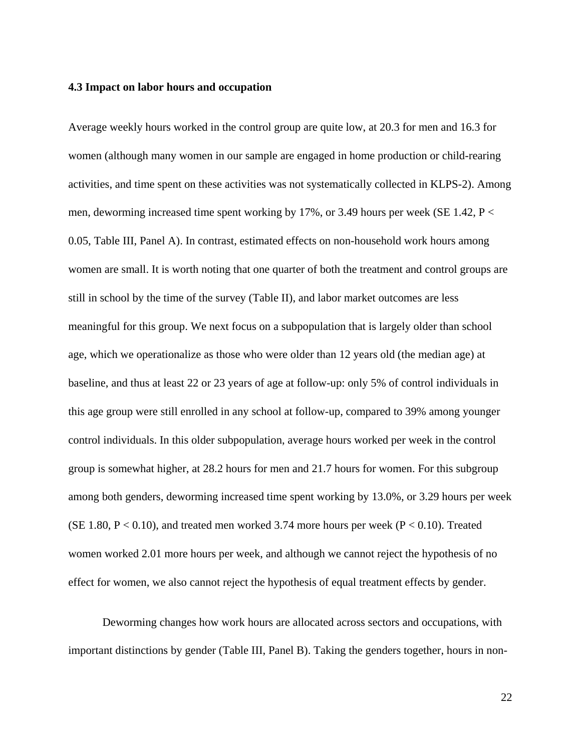#### **4.3 Impact on labor hours and occupation**

Average weekly hours worked in the control group are quite low, at 20.3 for men and 16.3 for women (although many women in our sample are engaged in home production or child-rearing activities, and time spent on these activities was not systematically collected in KLPS-2). Among men, deworming increased time spent working by 17%, or 3.49 hours per week (SE 1.42,  $P \lt \theta$ ) 0.05, Table III, Panel A). In contrast, estimated effects on non-household work hours among women are small. It is worth noting that one quarter of both the treatment and control groups are still in school by the time of the survey (Table II), and labor market outcomes are less meaningful for this group. We next focus on a subpopulation that is largely older than school age, which we operationalize as those who were older than 12 years old (the median age) at baseline, and thus at least 22 or 23 years of age at follow-up: only 5% of control individuals in this age group were still enrolled in any school at follow-up, compared to 39% among younger control individuals. In this older subpopulation, average hours worked per week in the control group is somewhat higher, at 28.2 hours for men and 21.7 hours for women. For this subgroup among both genders, deworming increased time spent working by 13.0%, or 3.29 hours per week (SE 1.80,  $P < 0.10$ ), and treated men worked 3.74 more hours per week ( $P < 0.10$ ). Treated women worked 2.01 more hours per week, and although we cannot reject the hypothesis of no effect for women, we also cannot reject the hypothesis of equal treatment effects by gender.

Deworming changes how work hours are allocated across sectors and occupations, with important distinctions by gender (Table III, Panel B). Taking the genders together, hours in non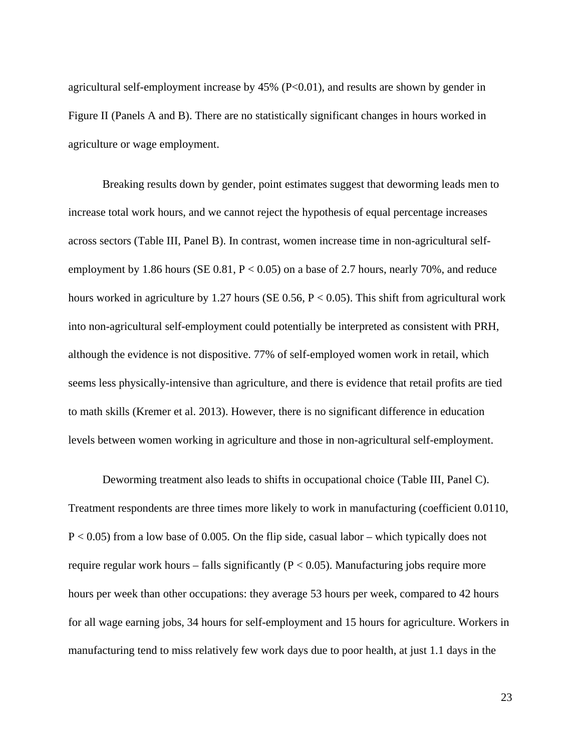agricultural self-employment increase by 45% (P<0.01), and results are shown by gender in Figure II (Panels A and B). There are no statistically significant changes in hours worked in agriculture or wage employment.

Breaking results down by gender, point estimates suggest that deworming leads men to increase total work hours, and we cannot reject the hypothesis of equal percentage increases across sectors (Table III, Panel B). In contrast, women increase time in non-agricultural selfemployment by 1.86 hours (SE  $0.81$ , P < 0.05) on a base of 2.7 hours, nearly 70%, and reduce hours worked in agriculture by 1.27 hours (SE 0.56,  $P < 0.05$ ). This shift from agricultural work into non-agricultural self-employment could potentially be interpreted as consistent with PRH, although the evidence is not dispositive. 77% of self-employed women work in retail, which seems less physically-intensive than agriculture, and there is evidence that retail profits are tied to math skills (Kremer et al. 2013). However, there is no significant difference in education levels between women working in agriculture and those in non-agricultural self-employment.

Deworming treatment also leads to shifts in occupational choice (Table III, Panel C). Treatment respondents are three times more likely to work in manufacturing (coefficient 0.0110,  $P < 0.05$ ) from a low base of 0.005. On the flip side, casual labor – which typically does not require regular work hours – falls significantly  $(P < 0.05)$ . Manufacturing jobs require more hours per week than other occupations: they average 53 hours per week, compared to 42 hours for all wage earning jobs, 34 hours for self-employment and 15 hours for agriculture. Workers in manufacturing tend to miss relatively few work days due to poor health, at just 1.1 days in the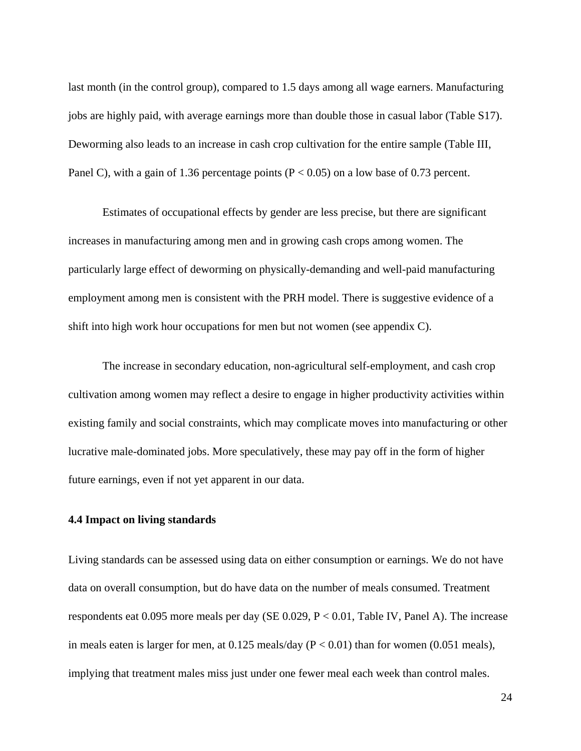last month (in the control group), compared to 1.5 days among all wage earners. Manufacturing jobs are highly paid, with average earnings more than double those in casual labor (Table S17). Deworming also leads to an increase in cash crop cultivation for the entire sample (Table III, Panel C), with a gain of 1.36 percentage points ( $P < 0.05$ ) on a low base of 0.73 percent.

Estimates of occupational effects by gender are less precise, but there are significant increases in manufacturing among men and in growing cash crops among women. The particularly large effect of deworming on physically-demanding and well-paid manufacturing employment among men is consistent with the PRH model. There is suggestive evidence of a shift into high work hour occupations for men but not women (see appendix C).

The increase in secondary education, non-agricultural self-employment, and cash crop cultivation among women may reflect a desire to engage in higher productivity activities within existing family and social constraints, which may complicate moves into manufacturing or other lucrative male-dominated jobs. More speculatively, these may pay off in the form of higher future earnings, even if not yet apparent in our data.

### **4.4 Impact on living standards**

Living standards can be assessed using data on either consumption or earnings. We do not have data on overall consumption, but do have data on the number of meals consumed. Treatment respondents eat 0.095 more meals per day (SE 0.029, P < 0.01, Table IV, Panel A). The increase in meals eaten is larger for men, at  $0.125$  meals/day ( $P < 0.01$ ) than for women (0.051 meals), implying that treatment males miss just under one fewer meal each week than control males.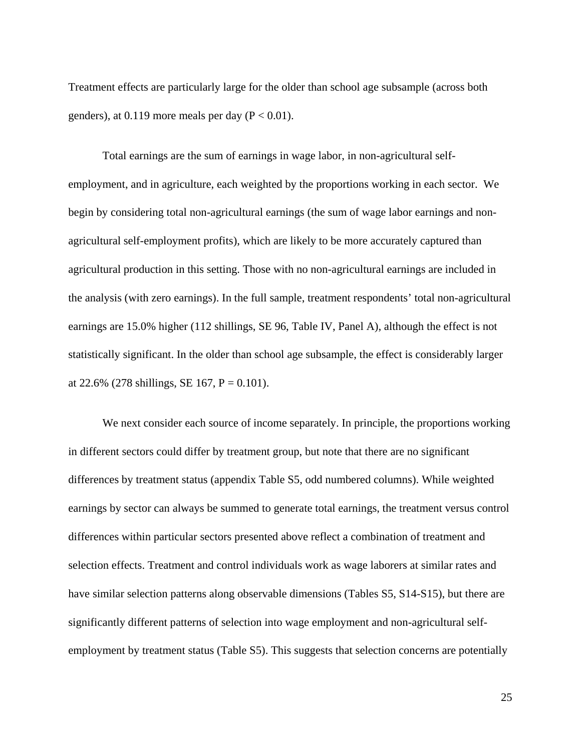Treatment effects are particularly large for the older than school age subsample (across both genders), at 0.119 more meals per day ( $P < 0.01$ ).

Total earnings are the sum of earnings in wage labor, in non-agricultural selfemployment, and in agriculture, each weighted by the proportions working in each sector. We begin by considering total non-agricultural earnings (the sum of wage labor earnings and nonagricultural self-employment profits), which are likely to be more accurately captured than agricultural production in this setting. Those with no non-agricultural earnings are included in the analysis (with zero earnings). In the full sample, treatment respondents' total non-agricultural earnings are 15.0% higher (112 shillings, SE 96, Table IV, Panel A), although the effect is not statistically significant. In the older than school age subsample, the effect is considerably larger at 22.6% (278 shillings, SE 167, P = 0.101).

We next consider each source of income separately. In principle, the proportions working in different sectors could differ by treatment group, but note that there are no significant differences by treatment status (appendix Table S5, odd numbered columns). While weighted earnings by sector can always be summed to generate total earnings, the treatment versus control differences within particular sectors presented above reflect a combination of treatment and selection effects. Treatment and control individuals work as wage laborers at similar rates and have similar selection patterns along observable dimensions (Tables S5, S14-S15), but there are significantly different patterns of selection into wage employment and non-agricultural selfemployment by treatment status (Table S5). This suggests that selection concerns are potentially

25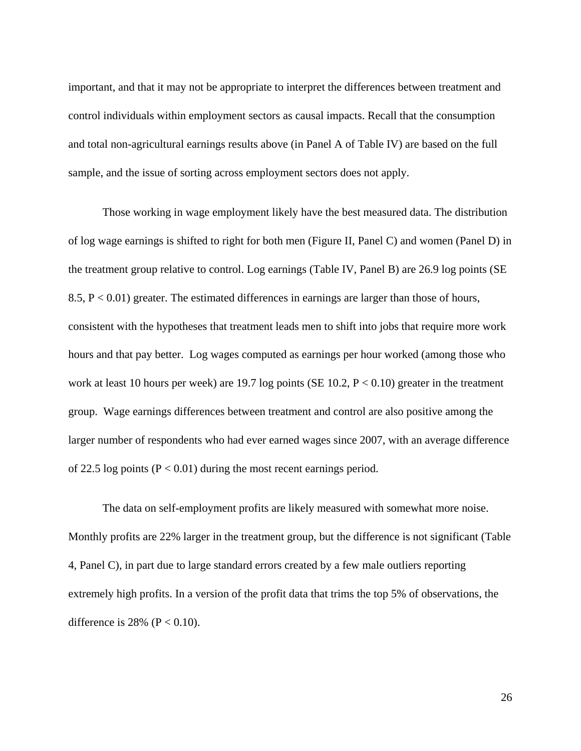important, and that it may not be appropriate to interpret the differences between treatment and control individuals within employment sectors as causal impacts. Recall that the consumption and total non-agricultural earnings results above (in Panel A of Table IV) are based on the full sample, and the issue of sorting across employment sectors does not apply.

Those working in wage employment likely have the best measured data. The distribution of log wage earnings is shifted to right for both men (Figure II, Panel C) and women (Panel D) in the treatment group relative to control. Log earnings (Table IV, Panel B) are 26.9 log points (SE 8.5,  $P < 0.01$ ) greater. The estimated differences in earnings are larger than those of hours, consistent with the hypotheses that treatment leads men to shift into jobs that require more work hours and that pay better. Log wages computed as earnings per hour worked (among those who work at least 10 hours per week) are 19.7 log points (SE 10.2,  $P < 0.10$ ) greater in the treatment group. Wage earnings differences between treatment and control are also positive among the larger number of respondents who had ever earned wages since 2007, with an average difference of 22.5 log points ( $P < 0.01$ ) during the most recent earnings period.

The data on self-employment profits are likely measured with somewhat more noise. Monthly profits are 22% larger in the treatment group, but the difference is not significant (Table 4, Panel C), in part due to large standard errors created by a few male outliers reporting extremely high profits. In a version of the profit data that trims the top 5% of observations, the difference is 28% ( $P < 0.10$ ).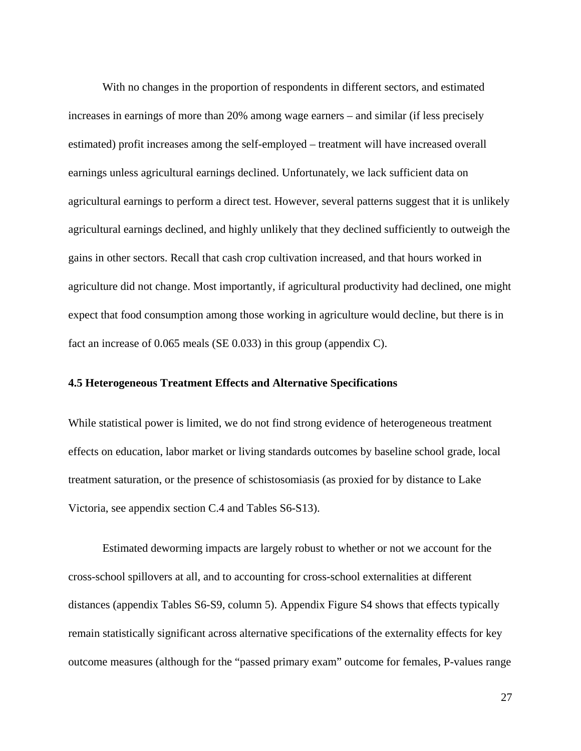With no changes in the proportion of respondents in different sectors, and estimated increases in earnings of more than 20% among wage earners – and similar (if less precisely estimated) profit increases among the self-employed – treatment will have increased overall earnings unless agricultural earnings declined. Unfortunately, we lack sufficient data on agricultural earnings to perform a direct test. However, several patterns suggest that it is unlikely agricultural earnings declined, and highly unlikely that they declined sufficiently to outweigh the gains in other sectors. Recall that cash crop cultivation increased, and that hours worked in agriculture did not change. Most importantly, if agricultural productivity had declined, one might expect that food consumption among those working in agriculture would decline, but there is in fact an increase of 0.065 meals (SE 0.033) in this group (appendix C).

## **4.5 Heterogeneous Treatment Effects and Alternative Specifications**

While statistical power is limited, we do not find strong evidence of heterogeneous treatment effects on education, labor market or living standards outcomes by baseline school grade, local treatment saturation, or the presence of schistosomiasis (as proxied for by distance to Lake Victoria, see appendix section C.4 and Tables S6-S13).

Estimated deworming impacts are largely robust to whether or not we account for the cross-school spillovers at all, and to accounting for cross-school externalities at different distances (appendix Tables S6-S9, column 5). Appendix Figure S4 shows that effects typically remain statistically significant across alternative specifications of the externality effects for key outcome measures (although for the "passed primary exam" outcome for females, P-values range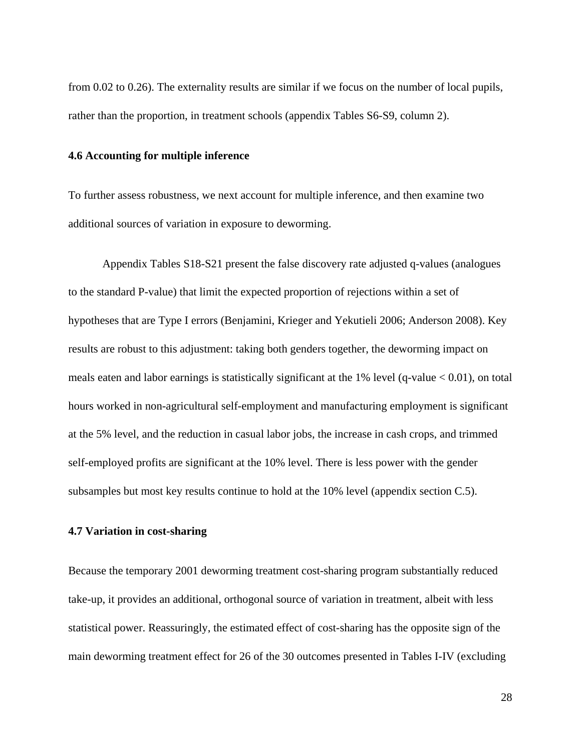from 0.02 to 0.26). The externality results are similar if we focus on the number of local pupils, rather than the proportion, in treatment schools (appendix Tables S6-S9, column 2).

## **4.6 Accounting for multiple inference**

To further assess robustness, we next account for multiple inference, and then examine two additional sources of variation in exposure to deworming.

Appendix Tables S18-S21 present the false discovery rate adjusted q-values (analogues to the standard P-value) that limit the expected proportion of rejections within a set of hypotheses that are Type I errors (Benjamini, Krieger and Yekutieli 2006; Anderson 2008). Key results are robust to this adjustment: taking both genders together, the deworming impact on meals eaten and labor earnings is statistically significant at the  $1\%$  level (q-value  $< 0.01$ ), on total hours worked in non-agricultural self-employment and manufacturing employment is significant at the 5% level, and the reduction in casual labor jobs, the increase in cash crops, and trimmed self-employed profits are significant at the 10% level. There is less power with the gender subsamples but most key results continue to hold at the 10% level (appendix section C.5).

## **4.7 Variation in cost-sharing**

Because the temporary 2001 deworming treatment cost-sharing program substantially reduced take-up, it provides an additional, orthogonal source of variation in treatment, albeit with less statistical power. Reassuringly, the estimated effect of cost-sharing has the opposite sign of the main deworming treatment effect for 26 of the 30 outcomes presented in Tables I-IV (excluding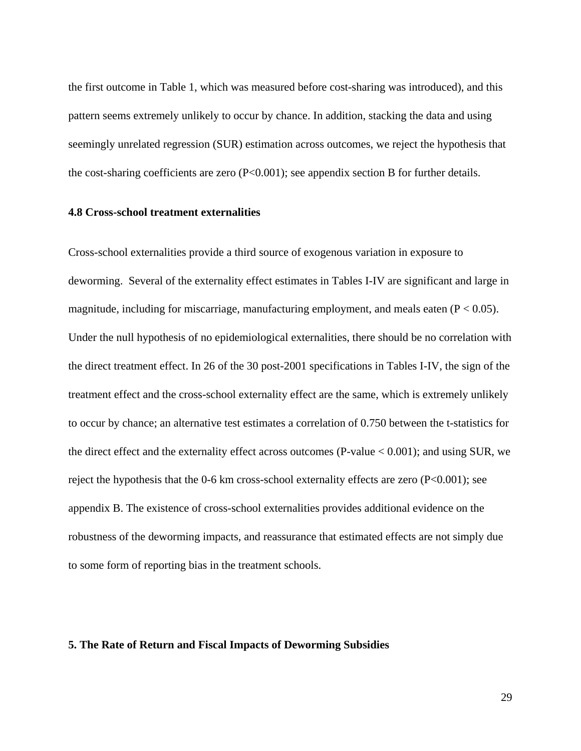the first outcome in Table 1, which was measured before cost-sharing was introduced), and this pattern seems extremely unlikely to occur by chance. In addition, stacking the data and using seemingly unrelated regression (SUR) estimation across outcomes, we reject the hypothesis that the cost-sharing coefficients are zero  $(P<0.001)$ ; see appendix section B for further details.

## **4.8 Cross-school treatment externalities**

Cross-school externalities provide a third source of exogenous variation in exposure to deworming. Several of the externality effect estimates in Tables I-IV are significant and large in magnitude, including for miscarriage, manufacturing employment, and meals eaten  $(P < 0.05)$ . Under the null hypothesis of no epidemiological externalities, there should be no correlation with the direct treatment effect. In 26 of the 30 post-2001 specifications in Tables I-IV, the sign of the treatment effect and the cross-school externality effect are the same, which is extremely unlikely to occur by chance; an alternative test estimates a correlation of 0.750 between the t-statistics for the direct effect and the externality effect across outcomes (P-value < 0.001); and using SUR, we reject the hypothesis that the 0-6 km cross-school externality effects are zero (P<0.001); see appendix B. The existence of cross-school externalities provides additional evidence on the robustness of the deworming impacts, and reassurance that estimated effects are not simply due to some form of reporting bias in the treatment schools.

## **5. The Rate of Return and Fiscal Impacts of Deworming Subsidies**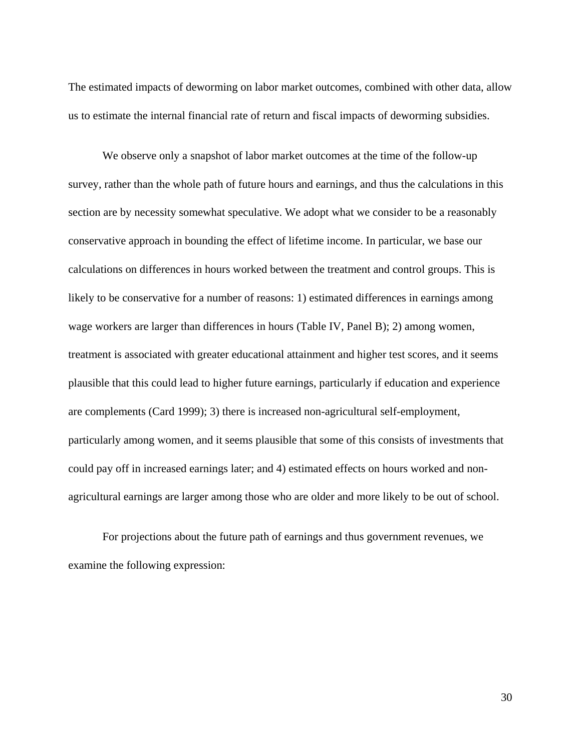The estimated impacts of deworming on labor market outcomes, combined with other data, allow us to estimate the internal financial rate of return and fiscal impacts of deworming subsidies.

We observe only a snapshot of labor market outcomes at the time of the follow-up survey, rather than the whole path of future hours and earnings, and thus the calculations in this section are by necessity somewhat speculative. We adopt what we consider to be a reasonably conservative approach in bounding the effect of lifetime income. In particular, we base our calculations on differences in hours worked between the treatment and control groups. This is likely to be conservative for a number of reasons: 1) estimated differences in earnings among wage workers are larger than differences in hours (Table IV, Panel B); 2) among women, treatment is associated with greater educational attainment and higher test scores, and it seems plausible that this could lead to higher future earnings, particularly if education and experience are complements (Card 1999); 3) there is increased non-agricultural self-employment, particularly among women, and it seems plausible that some of this consists of investments that could pay off in increased earnings later; and 4) estimated effects on hours worked and nonagricultural earnings are larger among those who are older and more likely to be out of school.

For projections about the future path of earnings and thus government revenues, we examine the following expression: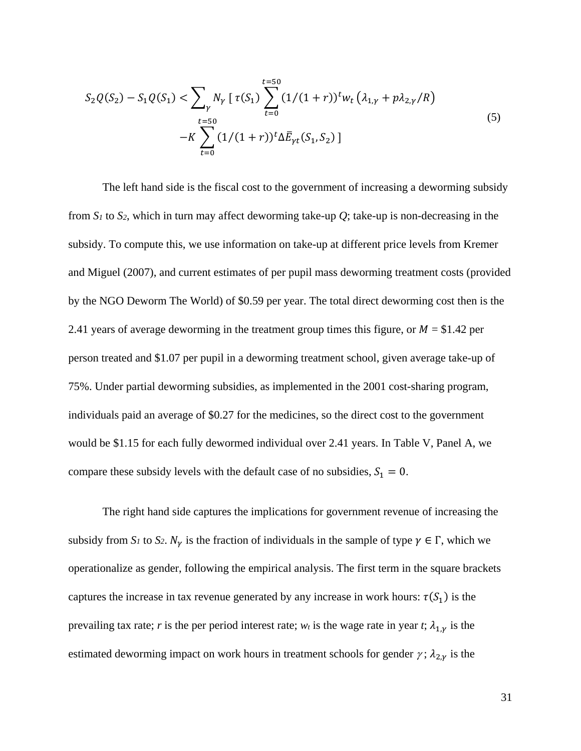$$
S_2 Q(S_2) - S_1 Q(S_1) < \sum_{\substack{t=50\\t=50}} N_{\gamma} \left[ \tau(S_1) \sum_{t=0}^{t=50} (1/(1+r))^t w_t \left( \lambda_{1,\gamma} + p \lambda_{2,\gamma} / R \right) \right] \tag{5}
$$
\n
$$
-K \sum_{t=0}^{t=50} (1/(1+r))^t \Delta \bar{E}_{\gamma t} (S_1, S_2) \right]
$$

The left hand side is the fiscal cost to the government of increasing a deworming subsidy from *S1* to *S2*, which in turn may affect deworming take-up *Q*; take-up is non-decreasing in the subsidy. To compute this, we use information on take-up at different price levels from Kremer and Miguel (2007), and current estimates of per pupil mass deworming treatment costs (provided by the NGO Deworm The World) of \$0.59 per year. The total direct deworming cost then is the 2.41 years of average deworming in the treatment group times this figure, or  $M = $1.42$  per person treated and \$1.07 per pupil in a deworming treatment school, given average take-up of 75%. Under partial deworming subsidies, as implemented in the 2001 cost-sharing program, individuals paid an average of \$0.27 for the medicines, so the direct cost to the government would be \$1.15 for each fully dewormed individual over 2.41 years. In Table V, Panel A, we compare these subsidy levels with the default case of no subsidies,  $S_1 = 0$ .

The right hand side captures the implications for government revenue of increasing the subsidy from *S<sub>1</sub>* to *S<sub>2</sub>*.  $N_{\gamma}$  is the fraction of individuals in the sample of type  $\gamma \in \Gamma$ , which we operationalize as gender, following the empirical analysis. The first term in the square brackets captures the increase in tax revenue generated by any increase in work hours:  $\tau(S_1)$  is the prevailing tax rate; *r* is the per period interest rate;  $w_t$  is the wage rate in year *t*;  $\lambda_{1,y}$  is the estimated deworming impact on work hours in treatment schools for gender  $\gamma$ ;  $\lambda_{2,\gamma}$  is the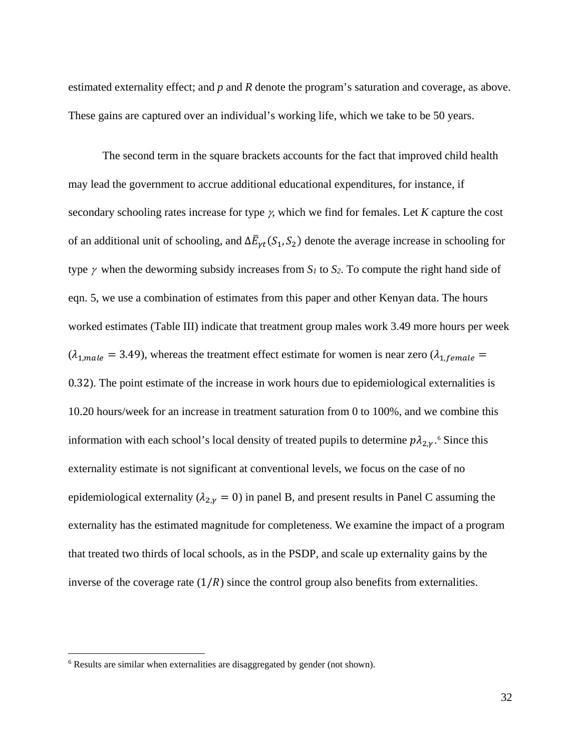estimated externality effect; and *p* and *R* denote the program's saturation and coverage, as above. These gains are captured over an individual's working life, which we take to be 50 years.

The second term in the square brackets accounts for the fact that improved child health may lead the government to accrue additional educational expenditures, for instance, if secondary schooling rates increase for type γ, which we find for females. Let *K* capture the cost of an additional unit of schooling, and  $\Delta \bar{E}_{vt}(S_1, S_2)$  denote the average increase in schooling for type <sup>γ</sup> when the deworming subsidy increases from *S1* to *S2*. To compute the right hand side of eqn. 5, we use a combination of estimates from this paper and other Kenyan data. The hours worked estimates (Table III) indicate that treatment group males work 3.49 more hours per week  $(\lambda_{1, male} = 3.49)$ , whereas the treatment effect estimate for women is near zero  $(\lambda_{1, female} = 1.49)$ 0.32). The point estimate of the increase in work hours due to epidemiological externalities is 10.20 hours/week for an increase in treatment saturation from 0 to 100%, and we combine this information with each school's local density of treated pupils to determine  $p\lambda_{2,y}$ .<sup>[6](#page-32-0)</sup> Since this externality estimate is not significant at conventional levels, we focus on the case of no epidemiological externality ( $\lambda_{2,y} = 0$ ) in panel B, and present results in Panel C assuming the externality has the estimated magnitude for completeness. We examine the impact of a program that treated two thirds of local schools, as in the PSDP, and scale up externality gains by the inverse of the coverage rate  $(1/R)$  since the control group also benefits from externalities.

<span id="page-32-0"></span> <sup>6</sup> Results are similar when externalities are disaggregated by gender (not shown).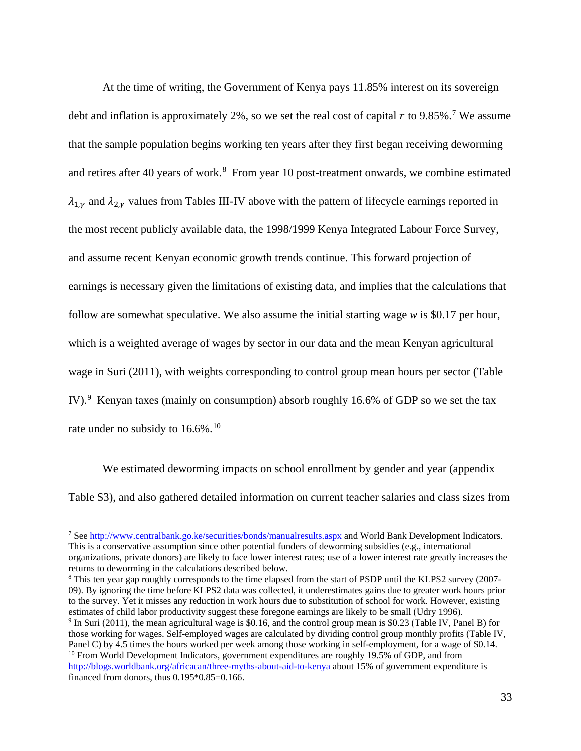At the time of writing, the Government of Kenya pays 11.85% interest on its sovereign debt and inflation is approximately 2%, so we set the real cost of capital  $r$  to 9.85%.<sup>[7](#page-33-0)</sup> We assume that the sample population begins working ten years after they first began receiving deworming and retires after 40 years of work.<sup>[8](#page-33-1)</sup> From year 10 post-treatment onwards, we combine estimated  $\lambda_{1,y}$  and  $\lambda_{2,y}$  values from Tables III-IV above with the pattern of lifecycle earnings reported in the most recent publicly available data, the 1998/1999 Kenya Integrated Labour Force Survey, and assume recent Kenyan economic growth trends continue. This forward projection of earnings is necessary given the limitations of existing data, and implies that the calculations that follow are somewhat speculative. We also assume the initial starting wage *w* is \$0.17 per hour, which is a weighted average of wages by sector in our data and the mean Kenyan agricultural wage in Suri (2011), with weights corresponding to control group mean hours per sector (Table IV). $9$  Kenyan taxes (mainly on consumption) absorb roughly 16.6% of GDP so we set the tax rate under no subsidy to 16.6%.<sup>[10](#page-33-3)</sup>

We estimated deworming impacts on school enrollment by gender and year (appendix Table S3), and also gathered detailed information on current teacher salaries and class sizes from

<span id="page-33-1"></span><sup>8</sup> This ten year gap roughly corresponds to the time elapsed from the start of PSDP until the KLPS2 survey (2007- 09). By ignoring the time before KLPS2 data was collected, it underestimates gains due to greater work hours prior to the survey. Yet it misses any reduction in work hours due to substitution of school for work. However, existing estimates of child labor productivity suggest these foregone earnings are likely to be small (Udry 1996).

<span id="page-33-0"></span> <sup>7</sup> Se[e http://www.centralbank.go.ke/securities/bonds/manualresults.aspx](http://www.centralbank.go.ke/securities/bonds/manualresults.aspx) and World Bank Development Indicators. This is a conservative assumption since other potential funders of deworming subsidies (e.g., international organizations, private donors) are likely to face lower interest rates; use of a lower interest rate greatly increases the returns to deworming in the calculations described below.

<span id="page-33-3"></span><span id="page-33-2"></span><sup>9</sup> In Suri (2011), the mean agricultural wage is \$0.16, and the control group mean is \$0.23 (Table IV, Panel B) for those working for wages. Self-employed wages are calculated by dividing control group monthly profits (Table IV, Panel C) by 4.5 times the hours worked per week among those working in self-employment, for a wage of \$0.14. <sup>10</sup> From World Development Indicators, government expenditures are roughly 19.5% of GDP, and from <http://blogs.worldbank.org/africacan/three-myths-about-aid-to-kenya> about 15% of government expenditure is financed from donors, thus 0.195\*0.85=0.166.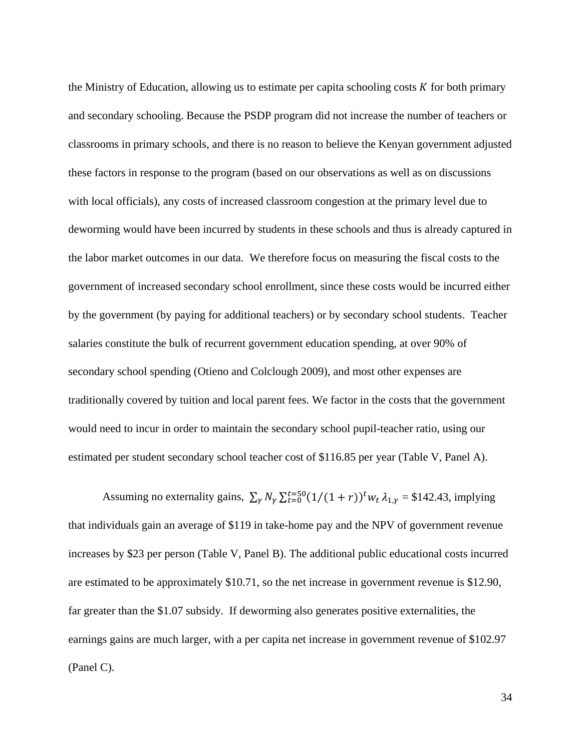the Ministry of Education, allowing us to estimate per capita schooling costs  $K$  for both primary and secondary schooling. Because the PSDP program did not increase the number of teachers or classrooms in primary schools, and there is no reason to believe the Kenyan government adjusted these factors in response to the program (based on our observations as well as on discussions with local officials), any costs of increased classroom congestion at the primary level due to deworming would have been incurred by students in these schools and thus is already captured in the labor market outcomes in our data. We therefore focus on measuring the fiscal costs to the government of increased secondary school enrollment, since these costs would be incurred either by the government (by paying for additional teachers) or by secondary school students. Teacher salaries constitute the bulk of recurrent government education spending, at over 90% of secondary school spending (Otieno and Colclough 2009), and most other expenses are traditionally covered by tuition and local parent fees. We factor in the costs that the government would need to incur in order to maintain the secondary school pupil-teacher ratio, using our estimated per student secondary school teacher cost of \$116.85 per year (Table V, Panel A).

Assuming no externality gains,  $\sum_{\gamma} N_{\gamma} \sum_{t=0}^{t=50} (1/(1+r))^t w_t \lambda_{1,\gamma} = $142.43$ , implying that individuals gain an average of \$119 in take-home pay and the NPV of government revenue increases by \$23 per person (Table V, Panel B). The additional public educational costs incurred are estimated to be approximately \$10.71, so the net increase in government revenue is \$12.90, far greater than the \$1.07 subsidy. If deworming also generates positive externalities, the earnings gains are much larger, with a per capita net increase in government revenue of \$102.97 (Panel C).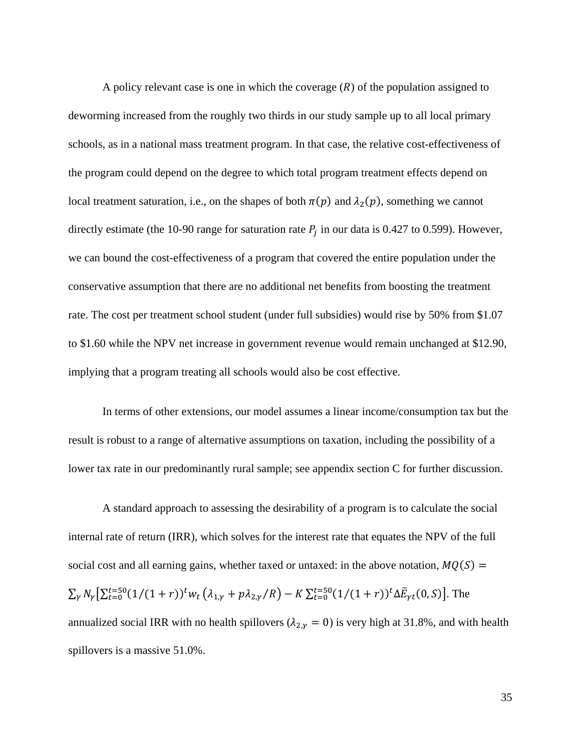A policy relevant case is one in which the coverage  $(R)$  of the population assigned to deworming increased from the roughly two thirds in our study sample up to all local primary schools, as in a national mass treatment program. In that case, the relative cost-effectiveness of the program could depend on the degree to which total program treatment effects depend on local treatment saturation, i.e., on the shapes of both  $\pi(p)$  and  $\lambda_2(p)$ , something we cannot directly estimate (the 10-90 range for saturation rate  $P_i$  in our data is 0.427 to 0.599). However, we can bound the cost-effectiveness of a program that covered the entire population under the conservative assumption that there are no additional net benefits from boosting the treatment rate. The cost per treatment school student (under full subsidies) would rise by 50% from \$1.07 to \$1.60 while the NPV net increase in government revenue would remain unchanged at \$12.90, implying that a program treating all schools would also be cost effective.

In terms of other extensions, our model assumes a linear income/consumption tax but the result is robust to a range of alternative assumptions on taxation, including the possibility of a lower tax rate in our predominantly rural sample; see appendix section C for further discussion.

A standard approach to assessing the desirability of a program is to calculate the social internal rate of return (IRR), which solves for the interest rate that equates the NPV of the full social cost and all earning gains, whether taxed or untaxed: in the above notation,  $MQ(S) =$  $\sum_{\gamma} N_{\gamma} \left[ \sum_{t=0}^{t=50} (1/(1+r))^{t} w_{t} \left( \lambda_{1,\gamma} + p \lambda_{2,\gamma}/R \right) - K \sum_{t=0}^{t=50} (1/(1+r))^{t} \Delta \bar{E}_{\gamma t} (0, S) \right]$ . The annualized social IRR with no health spillovers ( $\lambda_{2,y} = 0$ ) is very high at 31.8%, and with health spillovers is a massive 51.0%.

35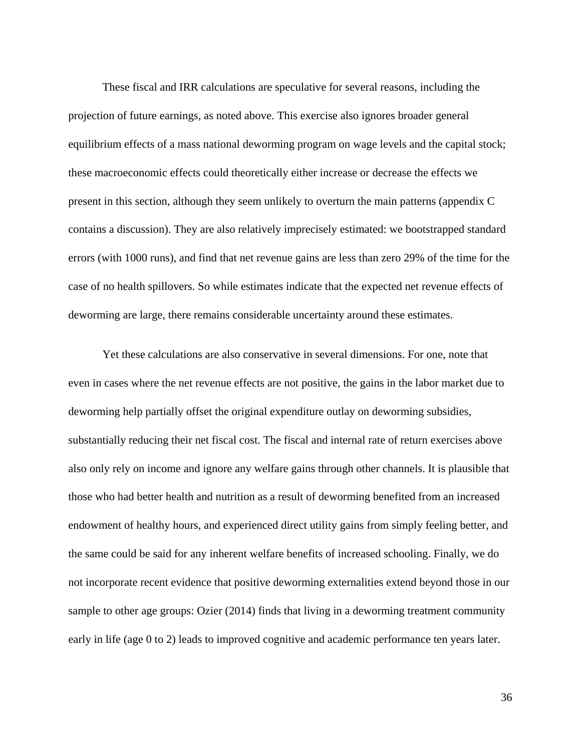These fiscal and IRR calculations are speculative for several reasons, including the projection of future earnings, as noted above. This exercise also ignores broader general equilibrium effects of a mass national deworming program on wage levels and the capital stock; these macroeconomic effects could theoretically either increase or decrease the effects we present in this section, although they seem unlikely to overturn the main patterns (appendix C contains a discussion). They are also relatively imprecisely estimated: we bootstrapped standard errors (with 1000 runs), and find that net revenue gains are less than zero 29% of the time for the case of no health spillovers. So while estimates indicate that the expected net revenue effects of deworming are large, there remains considerable uncertainty around these estimates.

Yet these calculations are also conservative in several dimensions. For one, note that even in cases where the net revenue effects are not positive, the gains in the labor market due to deworming help partially offset the original expenditure outlay on deworming subsidies, substantially reducing their net fiscal cost. The fiscal and internal rate of return exercises above also only rely on income and ignore any welfare gains through other channels. It is plausible that those who had better health and nutrition as a result of deworming benefited from an increased endowment of healthy hours, and experienced direct utility gains from simply feeling better, and the same could be said for any inherent welfare benefits of increased schooling. Finally, we do not incorporate recent evidence that positive deworming externalities extend beyond those in our sample to other age groups: Ozier (2014) finds that living in a deworming treatment community early in life (age 0 to 2) leads to improved cognitive and academic performance ten years later.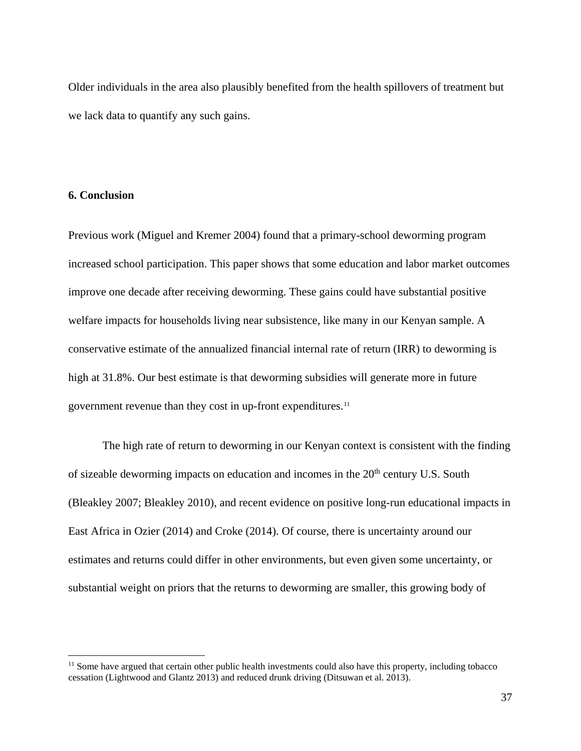Older individuals in the area also plausibly benefited from the health spillovers of treatment but we lack data to quantify any such gains.

## **6. Conclusion**

Previous work (Miguel and Kremer 2004) found that a primary-school deworming program increased school participation. This paper shows that some education and labor market outcomes improve one decade after receiving deworming. These gains could have substantial positive welfare impacts for households living near subsistence, like many in our Kenyan sample. A conservative estimate of the annualized financial internal rate of return (IRR) to deworming is high at 31.8%. Our best estimate is that deworming subsidies will generate more in future government revenue than they cost in up-front expenditures.<sup>[11](#page-37-0)</sup>

The high rate of return to deworming in our Kenyan context is consistent with the finding of sizeable deworming impacts on education and incomes in the  $20<sup>th</sup>$  century U.S. South (Bleakley 2007; Bleakley 2010), and recent evidence on positive long-run educational impacts in East Africa in Ozier (2014) and Croke (2014). Of course, there is uncertainty around our estimates and returns could differ in other environments, but even given some uncertainty, or substantial weight on priors that the returns to deworming are smaller, this growing body of

<span id="page-37-0"></span><sup>&</sup>lt;sup>11</sup> Some have argued that certain other public health investments could also have this property, including tobacco cessation (Lightwood and Glantz 2013) and reduced drunk driving (Ditsuwan et al. 2013).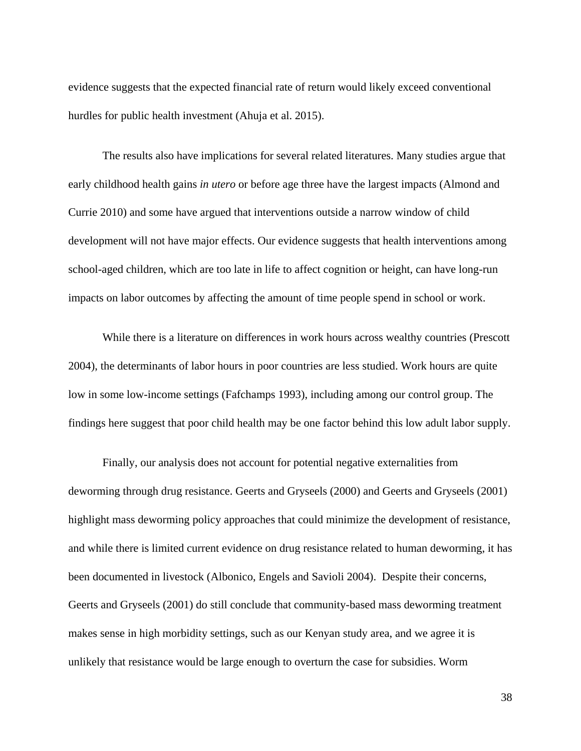evidence suggests that the expected financial rate of return would likely exceed conventional hurdles for public health investment (Ahuja et al. 2015).

The results also have implications for several related literatures. Many studies argue that early childhood health gains *in utero* or before age three have the largest impacts (Almond and Currie 2010) and some have argued that interventions outside a narrow window of child development will not have major effects. Our evidence suggests that health interventions among school-aged children, which are too late in life to affect cognition or height, can have long-run impacts on labor outcomes by affecting the amount of time people spend in school or work.

While there is a literature on differences in work hours across wealthy countries (Prescott 2004), the determinants of labor hours in poor countries are less studied. Work hours are quite low in some low-income settings (Fafchamps 1993), including among our control group. The findings here suggest that poor child health may be one factor behind this low adult labor supply.

Finally, our analysis does not account for potential negative externalities from deworming through drug resistance. Geerts and Gryseels (2000) and Geerts and Gryseels (2001) highlight mass deworming policy approaches that could minimize the development of resistance, and while there is limited current evidence on drug resistance related to human deworming, it has been documented in livestock (Albonico, Engels and Savioli 2004). Despite their concerns, Geerts and Gryseels (2001) do still conclude that community-based mass deworming treatment makes sense in high morbidity settings, such as our Kenyan study area, and we agree it is unlikely that resistance would be large enough to overturn the case for subsidies. Worm

38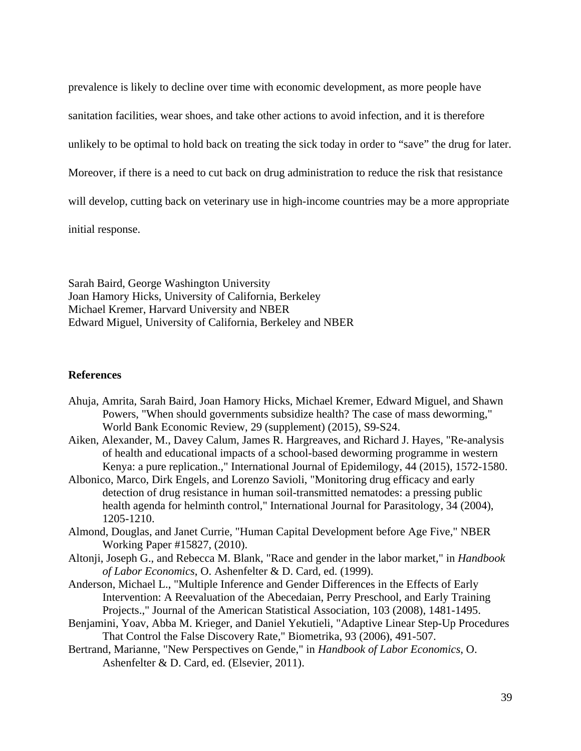prevalence is likely to decline over time with economic development, as more people have sanitation facilities, wear shoes, and take other actions to avoid infection, and it is therefore unlikely to be optimal to hold back on treating the sick today in order to "save" the drug for later. Moreover, if there is a need to cut back on drug administration to reduce the risk that resistance will develop, cutting back on veterinary use in high-income countries may be a more appropriate initial response.

Sarah Baird, George Washington University Joan Hamory Hicks, University of California, Berkeley Michael Kremer, Harvard University and NBER Edward Miguel, University of California, Berkeley and NBER

## **References**

- Ahuja, Amrita, Sarah Baird, Joan Hamory Hicks, Michael Kremer, Edward Miguel, and Shawn Powers, "When should governments subsidize health? The case of mass deworming," World Bank Economic Review, 29 (supplement) (2015), S9-S24.
- Aiken, Alexander, M., Davey Calum, James R. Hargreaves, and Richard J. Hayes, "Re-analysis of health and educational impacts of a school-based deworming programme in western Kenya: a pure replication.," International Journal of Epidemilogy, 44 (2015), 1572-1580.
- Albonico, Marco, Dirk Engels, and Lorenzo Savioli, "Monitoring drug efficacy and early detection of drug resistance in human soil-transmitted nematodes: a pressing public health agenda for helminth control," International Journal for Parasitology, 34 (2004), 1205-1210.
- Almond, Douglas, and Janet Currie, "Human Capital Development before Age Five," NBER Working Paper #15827, (2010).
- Altonji, Joseph G., and Rebecca M. Blank, "Race and gender in the labor market," in *Handbook of Labor Economics*, O. Ashenfelter & D. Card, ed. (1999).
- Anderson, Michael L., "Multiple Inference and Gender Differences in the Effects of Early Intervention: A Reevaluation of the Abecedaian, Perry Preschool, and Early Training Projects.," Journal of the American Statistical Association, 103 (2008), 1481-1495.
- Benjamini, Yoav, Abba M. Krieger, and Daniel Yekutieli, "Adaptive Linear Step-Up Procedures That Control the False Discovery Rate," Biometrika, 93 (2006), 491-507.
- Bertrand, Marianne, "New Perspectives on Gende," in *Handbook of Labor Economics*, O. Ashenfelter & D. Card, ed. (Elsevier, 2011).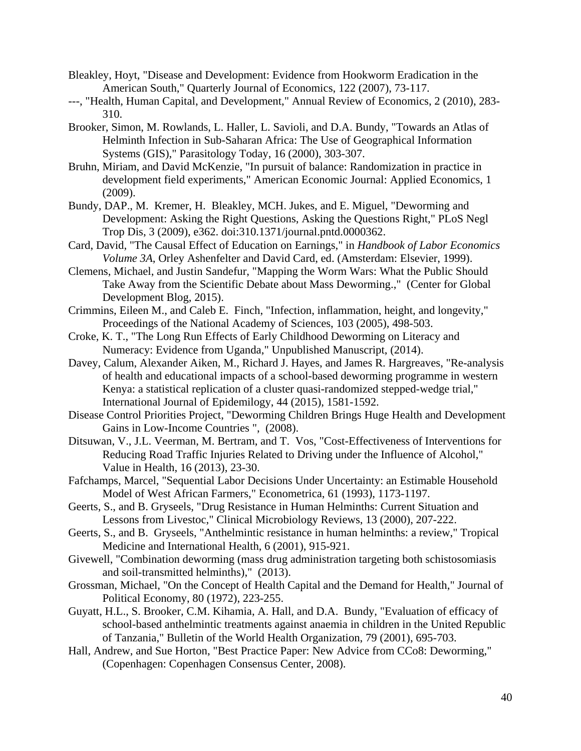- Bleakley, Hoyt, "Disease and Development: Evidence from Hookworm Eradication in the American South," Quarterly Journal of Economics, 122 (2007), 73-117.
- ---, "Health, Human Capital, and Development," Annual Review of Economics, 2 (2010), 283- 310.
- Brooker, Simon, M. Rowlands, L. Haller, L. Savioli, and D.A. Bundy, "Towards an Atlas of Helminth Infection in Sub-Saharan Africa: The Use of Geographical Information Systems (GIS)," Parasitology Today, 16 (2000), 303-307.
- Bruhn, Miriam, and David McKenzie, "In pursuit of balance: Randomization in practice in development field experiments," American Economic Journal: Applied Economics, 1 (2009).
- Bundy, DAP., M. Kremer, H. Bleakley, MCH. Jukes, and E. Miguel, "Deworming and Development: Asking the Right Questions, Asking the Questions Right," PLoS Negl Trop Dis, 3 (2009), e362. doi:310.1371/journal.pntd.0000362.
- Card, David, "The Causal Effect of Education on Earnings," in *Handbook of Labor Economics Volume 3A*, Orley Ashenfelter and David Card, ed. (Amsterdam: Elsevier, 1999).
- Clemens, Michael, and Justin Sandefur, "Mapping the Worm Wars: What the Public Should Take Away from the Scientific Debate about Mass Deworming.," (Center for Global Development Blog, 2015).
- Crimmins, Eileen M., and Caleb E. Finch, "Infection, inflammation, height, and longevity," Proceedings of the National Academy of Sciences, 103 (2005), 498-503.
- Croke, K. T., "The Long Run Effects of Early Childhood Deworming on Literacy and Numeracy: Evidence from Uganda," Unpublished Manuscript, (2014).
- Davey, Calum, Alexander Aiken, M., Richard J. Hayes, and James R. Hargreaves, "Re-analysis of health and educational impacts of a school-based deworming programme in western Kenya: a statistical replication of a cluster quasi-randomized stepped-wedge trial," International Journal of Epidemilogy, 44 (2015), 1581-1592.
- Disease Control Priorities Project, "Deworming Children Brings Huge Health and Development Gains in Low-Income Countries ", (2008).
- Ditsuwan, V., J.L. Veerman, M. Bertram, and T. Vos, "Cost-Effectiveness of Interventions for Reducing Road Traffic Injuries Related to Driving under the Influence of Alcohol," Value in Health, 16 (2013), 23-30.
- Fafchamps, Marcel, "Sequential Labor Decisions Under Uncertainty: an Estimable Household Model of West African Farmers," Econometrica, 61 (1993), 1173-1197.
- Geerts, S., and B. Gryseels, "Drug Resistance in Human Helminths: Current Situation and Lessons from Livestoc," Clinical Microbiology Reviews, 13 (2000), 207-222.
- Geerts, S., and B. Gryseels, "Anthelmintic resistance in human helminths: a review," Tropical Medicine and International Health, 6 (2001), 915-921.
- Givewell, "Combination deworming (mass drug administration targeting both schistosomiasis and soil-transmitted helminths)," (2013).
- Grossman, Michael, "On the Concept of Health Capital and the Demand for Health," Journal of Political Economy, 80 (1972), 223-255.
- Guyatt, H.L., S. Brooker, C.M. Kihamia, A. Hall, and D.A. Bundy, "Evaluation of efficacy of school-based anthelmintic treatments against anaemia in children in the United Republic of Tanzania," Bulletin of the World Health Organization, 79 (2001), 695-703.
- Hall, Andrew, and Sue Horton, "Best Practice Paper: New Advice from CCo8: Deworming," (Copenhagen: Copenhagen Consensus Center, 2008).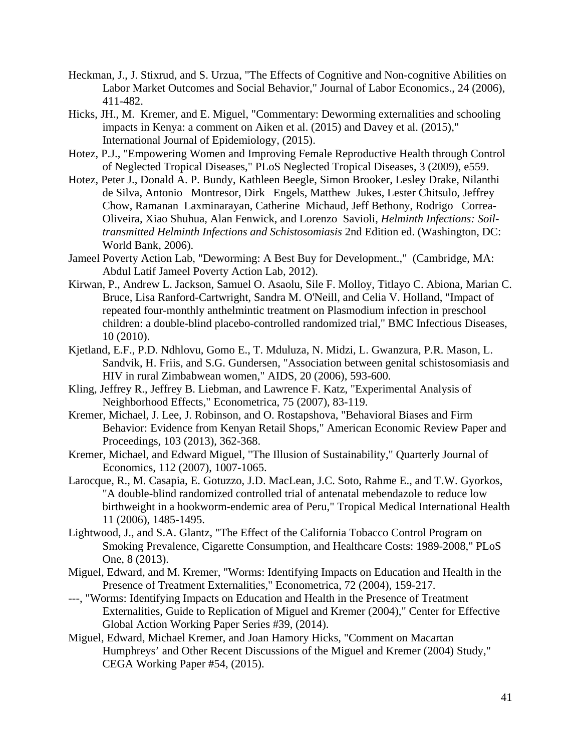- Heckman, J., J. Stixrud, and S. Urzua, "The Effects of Cognitive and Non-cognitive Abilities on Labor Market Outcomes and Social Behavior," Journal of Labor Economics., 24 (2006), 411-482.
- Hicks, JH., M. Kremer, and E. Miguel, "Commentary: Deworming externalities and schooling impacts in Kenya: a comment on Aiken et al. (2015) and Davey et al. (2015)," International Journal of Epidemiology, (2015).
- Hotez, P.J., "Empowering Women and Improving Female Reproductive Health through Control of Neglected Tropical Diseases," PLoS Neglected Tropical Diseases, 3 (2009), e559.
- Hotez, Peter J., Donald A. P. Bundy, Kathleen Beegle, Simon Brooker, Lesley Drake, Nilanthi de Silva, Antonio Montresor, Dirk Engels, Matthew Jukes, Lester Chitsulo, Jeffrey Chow, Ramanan Laxminarayan, Catherine Michaud, Jeff Bethony, Rodrigo Correa-Oliveira, Xiao Shuhua, Alan Fenwick, and Lorenzo Savioli, *Helminth Infections: Soiltransmitted Helminth Infections and Schistosomiasis* 2nd Edition ed. (Washington, DC: World Bank, 2006).
- Jameel Poverty Action Lab, "Deworming: A Best Buy for Development.," (Cambridge, MA: Abdul Latif Jameel Poverty Action Lab, 2012).
- Kirwan, P., Andrew L. Jackson, Samuel O. Asaolu, Sile F. Molloy, Titlayo C. Abiona, Marian C. Bruce, Lisa Ranford-Cartwright, Sandra M. O'Neill, and Celia V. Holland, "Impact of repeated four-monthly anthelmintic treatment on Plasmodium infection in preschool children: a double-blind placebo-controlled randomized trial," BMC Infectious Diseases, 10 (2010).
- Kjetland, E.F., P.D. Ndhlovu, Gomo E., T. Mduluza, N. Midzi, L. Gwanzura, P.R. Mason, L. Sandvik, H. Friis, and S.G. Gundersen, "Association between genital schistosomiasis and HIV in rural Zimbabwean women," AIDS, 20 (2006), 593-600.
- Kling, Jeffrey R., Jeffrey B. Liebman, and Lawrence F. Katz, "Experimental Analysis of Neighborhood Effects," Econometrica, 75 (2007), 83-119.
- Kremer, Michael, J. Lee, J. Robinson, and O. Rostapshova, "Behavioral Biases and Firm Behavior: Evidence from Kenyan Retail Shops," American Economic Review Paper and Proceedings, 103 (2013), 362-368.
- Kremer, Michael, and Edward Miguel, "The Illusion of Sustainability," Quarterly Journal of Economics, 112 (2007), 1007-1065.
- Larocque, R., M. Casapia, E. Gotuzzo, J.D. MacLean, J.C. Soto, Rahme E., and T.W. Gyorkos, "A double-blind randomized controlled trial of antenatal mebendazole to reduce low birthweight in a hookworm-endemic area of Peru," Tropical Medical International Health 11 (2006), 1485-1495.
- Lightwood, J., and S.A. Glantz, "The Effect of the California Tobacco Control Program on Smoking Prevalence, Cigarette Consumption, and Healthcare Costs: 1989-2008," PLoS One, 8 (2013).
- Miguel, Edward, and M. Kremer, "Worms: Identifying Impacts on Education and Health in the Presence of Treatment Externalities," Econometrica, 72 (2004), 159-217.
- ---, "Worms: Identifying Impacts on Education and Health in the Presence of Treatment Externalities, Guide to Replication of Miguel and Kremer (2004)," Center for Effective Global Action Working Paper Series #39, (2014).
- Miguel, Edward, Michael Kremer, and Joan Hamory Hicks, "Comment on Macartan Humphreys' and Other Recent Discussions of the Miguel and Kremer (2004) Study," CEGA Working Paper #54, (2015).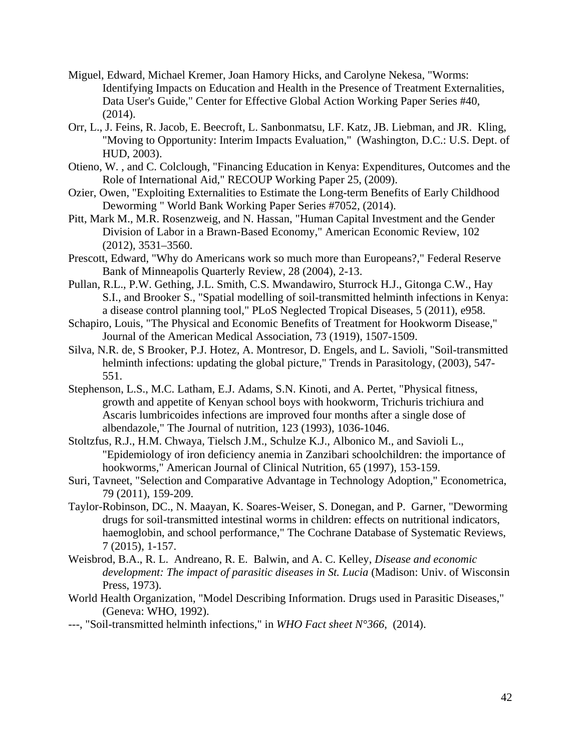- Miguel, Edward, Michael Kremer, Joan Hamory Hicks, and Carolyne Nekesa, "Worms: Identifying Impacts on Education and Health in the Presence of Treatment Externalities, Data User's Guide," Center for Effective Global Action Working Paper Series #40, (2014).
- Orr, L., J. Feins, R. Jacob, E. Beecroft, L. Sanbonmatsu, LF. Katz, JB. Liebman, and JR. Kling, "Moving to Opportunity: Interim Impacts Evaluation," (Washington, D.C.: U.S. Dept. of HUD, 2003).
- Otieno, W. , and C. Colclough, "Financing Education in Kenya: Expenditures, Outcomes and the Role of International Aid," RECOUP Working Paper 25, (2009).
- Ozier, Owen, "Exploiting Externalities to Estimate the Long-term Benefits of Early Childhood Deworming " World Bank Working Paper Series #7052, (2014).
- Pitt, Mark M., M.R. Rosenzweig, and N. Hassan, "Human Capital Investment and the Gender Division of Labor in a Brawn-Based Economy," American Economic Review, 102 (2012), 3531–3560.
- Prescott, Edward, "Why do Americans work so much more than Europeans?," Federal Reserve Bank of Minneapolis Quarterly Review, 28 (2004), 2-13.
- Pullan, R.L., P.W. Gething, J.L. Smith, C.S. Mwandawiro, Sturrock H.J., Gitonga C.W., Hay S.I., and Brooker S., "Spatial modelling of soil-transmitted helminth infections in Kenya: a disease control planning tool," PLoS Neglected Tropical Diseases, 5 (2011), e958.
- Schapiro, Louis, "The Physical and Economic Benefits of Treatment for Hookworm Disease," Journal of the American Medical Association, 73 (1919), 1507-1509.
- Silva, N.R. de, S Brooker, P.J. Hotez, A. Montresor, D. Engels, and L. Savioli, "Soil-transmitted helminth infections: updating the global picture," Trends in Parasitology, (2003), 547- 551.
- Stephenson, L.S., M.C. Latham, E.J. Adams, S.N. Kinoti, and A. Pertet, "Physical fitness, growth and appetite of Kenyan school boys with hookworm, Trichuris trichiura and Ascaris lumbricoides infections are improved four months after a single dose of albendazole," The Journal of nutrition, 123 (1993), 1036-1046.
- Stoltzfus, R.J., H.M. Chwaya, Tielsch J.M., Schulze K.J., Albonico M., and Savioli L., "Epidemiology of iron deficiency anemia in Zanzibari schoolchildren: the importance of hookworms," American Journal of Clinical Nutrition, 65 (1997), 153-159.
- Suri, Tavneet, "Selection and Comparative Advantage in Technology Adoption," Econometrica, 79 (2011), 159-209.
- Taylor-Robinson, DC., N. Maayan, K. Soares-Weiser, S. Donegan, and P. Garner, "Deworming drugs for soil-transmitted intestinal worms in children: effects on nutritional indicators, haemoglobin, and school performance," The Cochrane Database of Systematic Reviews, 7 (2015), 1-157.
- Weisbrod, B.A., R. L. Andreano, R. E. Balwin, and A. C. Kelley, *Disease and economic development: The impact of parasitic diseases in St. Lucia* (Madison: Univ. of Wisconsin Press, 1973).
- World Health Organization, "Model Describing Information. Drugs used in Parasitic Diseases," (Geneva: WHO, 1992).
- ---, "Soil-transmitted helminth infections," in *WHO Fact sheet N°366*, (2014).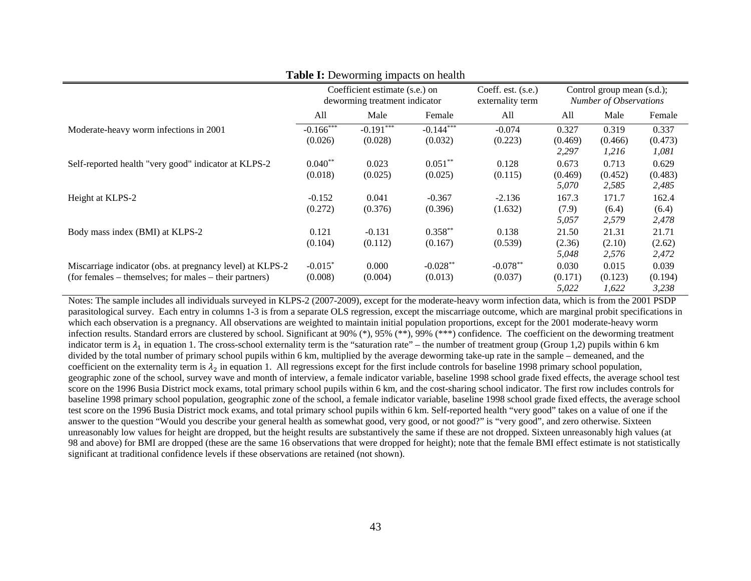| <b>Table 1:</b> Deworming impacts on nearly               |                                                                 |             |             |                                        |                                                             |         |         |  |
|-----------------------------------------------------------|-----------------------------------------------------------------|-------------|-------------|----------------------------------------|-------------------------------------------------------------|---------|---------|--|
|                                                           | Coefficient estimate (s.e.) on<br>deworming treatment indicator |             |             | Coeff. est. (s.e.)<br>externality term | Control group mean (s.d.);<br><b>Number of Observations</b> |         |         |  |
|                                                           | All                                                             | Male        | Female      | All                                    | All                                                         | Male    | Female  |  |
| Moderate-heavy worm infections in 2001                    | $-0.166***$                                                     | $-0.191***$ | $-0.144***$ | $-0.074$                               | 0.327                                                       | 0.319   | 0.337   |  |
|                                                           | (0.026)                                                         | (0.028)     | (0.032)     | (0.223)                                | (0.469)                                                     | (0.466) | (0.473) |  |
|                                                           |                                                                 |             |             |                                        | 2,297                                                       | 1,216   | 1,081   |  |
| Self-reported health "very good" indicator at KLPS-2      | $0.040**$                                                       | 0.023       | $0.051***$  | 0.128                                  | 0.673                                                       | 0.713   | 0.629   |  |
|                                                           | (0.018)                                                         | (0.025)     | (0.025)     | (0.115)                                | (0.469)                                                     | (0.452) | (0.483) |  |
|                                                           |                                                                 |             |             |                                        | 5,070                                                       | 2,585   | 2,485   |  |
| Height at KLPS-2                                          | $-0.152$                                                        | 0.041       | $-0.367$    | $-2.136$                               | 167.3                                                       | 171.7   | 162.4   |  |
|                                                           | (0.272)                                                         | (0.376)     | (0.396)     | (1.632)                                | (7.9)                                                       | (6.4)   | (6.4)   |  |
|                                                           |                                                                 |             |             |                                        | 5,057                                                       | 2,579   | 2,478   |  |
| Body mass index (BMI) at KLPS-2                           | 0.121                                                           | $-0.131$    | $0.358**$   | 0.138                                  | 21.50                                                       | 21.31   | 21.71   |  |
|                                                           | (0.104)                                                         | (0.112)     | (0.167)     | (0.539)                                | (2.36)                                                      | (2.10)  | (2.62)  |  |
|                                                           |                                                                 |             |             |                                        | 5,048                                                       | 2,576   | 2,472   |  |
| Miscarriage indicator (obs. at pregnancy level) at KLPS-2 | $-0.015*$                                                       | 0.000       | $-0.028**$  | $-0.078**$                             | 0.030                                                       | 0.015   | 0.039   |  |
| (for females – themselves; for males – their partners)    | (0.008)                                                         | (0.004)     | (0.013)     | (0.037)                                | (0.171)                                                     | (0.123) | (0.194) |  |
|                                                           |                                                                 |             |             |                                        | 5,022                                                       | 1,622   | 3,238   |  |

**Table I:** Deworming impacts on health

Notes: The sample includes all individuals surveyed in KLPS-2 (2007-2009), except for the moderate-heavy worm infection data, which is from the 2001 PSDP parasitological survey. Each entry in columns 1-3 is from a separate OLS regression, except the miscarriage outcome, which are marginal probit specifications in which each observation is a pregnancy. All observations are weighted to maintain initial population proportions, except for the 2001 moderate-heavy worm infection results. Standard errors are clustered by school. Significant at 90% (\*), 95% (\*\*), 99% (\*\*\*) confidence. The coefficient on the deworming treatment indicator term is  $\lambda_1$  in equation 1. The cross-school externality term is the "saturation rate" – the number of treatment group (Group 1,2) pupils within 6 km divided by the total number of primary school pupils within 6 km, multiplied by the average deworming take-up rate in the sample – demeaned, and the coefficient on the externality term is  $\lambda_2$  in equation 1. All regressions except for the first include controls for baseline 1998 primary school population, geographic zone of the school, survey wave and month of interview, a female indicator variable, baseline 1998 school grade fixed effects, the average school test score on the 1996 Busia District mock exams, total primary school pupils within 6 km, and the cost-sharing school indicator. The first row includes controls for baseline 1998 primary school population, geographic zone of the school, a female indicator variable, baseline 1998 school grade fixed effects, the average school test score on the 1996 Busia District mock exams, and total primary school pupils within 6 km. Self-reported health "very good" takes on a value of one if the answer to the question "Would you describe your general health as somewhat good, very good, or not good?" is "very good", and zero otherwise. Sixteen unreasonably low values for height are dropped, but the height results are substantively the same if these are not dropped. Sixteen unreasonably high values (at 98 and above) for BMI are dropped (these are the same 16 observations that were dropped for height); note that the female BMI effect estimate is not statistically significant at traditional confidence levels if these observations are retained (not shown).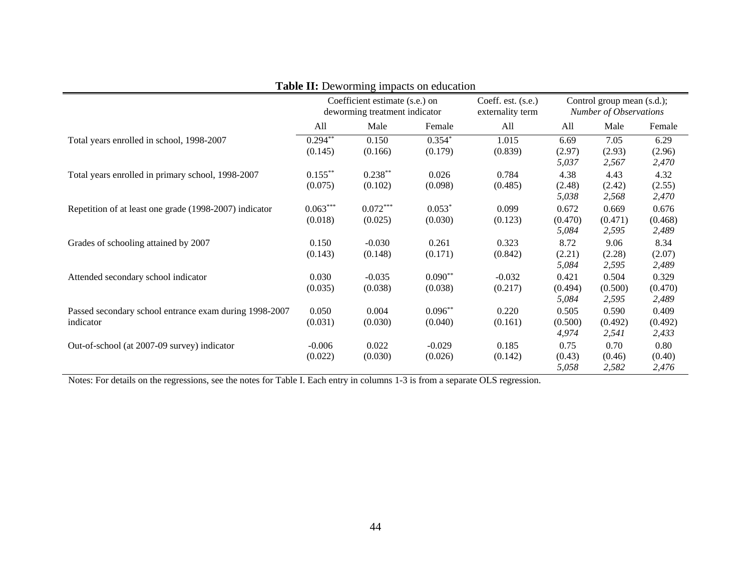|                                                        | Coefficient estimate (s.e.) on<br>deworming treatment indicator |            |           | Coeff. est. (s.e.)<br>externality term | Control group mean (s.d.);<br><b>Number of Observations</b> |                  |                  |
|--------------------------------------------------------|-----------------------------------------------------------------|------------|-----------|----------------------------------------|-------------------------------------------------------------|------------------|------------------|
|                                                        | All                                                             | Male       | Female    | All                                    | All                                                         | Male             | Female           |
| Total years enrolled in school, 1998-2007              | $0.294***$                                                      | 0.150      | $0.354*$  | 1.015                                  | 6.69                                                        | 7.05             | 6.29             |
|                                                        | (0.145)                                                         | (0.166)    | (0.179)   | (0.839)                                | (2.97)<br>5,037                                             | (2.93)<br>2,567  | (2.96)<br>2,470  |
| Total years enrolled in primary school, 1998-2007      | $0.155***$                                                      | $0.238***$ | 0.026     | 0.784                                  | 4.38                                                        | 4.43             | 4.32             |
|                                                        | (0.075)                                                         | (0.102)    | (0.098)   | (0.485)                                | (2.48)<br>5,038                                             | (2.42)<br>2,568  | (2.55)<br>2,470  |
| Repetition of at least one grade (1998-2007) indicator | $0.063***$                                                      | $0.072***$ | $0.053*$  | 0.099                                  | 0.672                                                       | 0.669            | 0.676            |
|                                                        | (0.018)                                                         | (0.025)    | (0.030)   | (0.123)                                | (0.470)<br>5,084                                            | (0.471)<br>2,595 | (0.468)<br>2,489 |
| Grades of schooling attained by 2007                   | 0.150                                                           | $-0.030$   | 0.261     | 0.323                                  | 8.72                                                        | 9.06             | 8.34             |
|                                                        | (0.143)                                                         | (0.148)    | (0.171)   | (0.842)                                | (2.21)<br>5,084                                             | (2.28)<br>2,595  | (2.07)<br>2,489  |
| Attended secondary school indicator                    | 0.030                                                           | $-0.035$   | $0.090**$ | $-0.032$                               | 0.421                                                       | 0.504            | 0.329            |
|                                                        | (0.035)                                                         | (0.038)    | (0.038)   | (0.217)                                | (0.494)<br>5,084                                            | (0.500)<br>2,595 | (0.470)<br>2,489 |
| Passed secondary school entrance exam during 1998-2007 | 0.050                                                           | 0.004      | $0.096**$ | 0.220                                  | 0.505                                                       | 0.590            | 0.409            |
| indicator                                              | (0.031)                                                         | (0.030)    | (0.040)   | (0.161)                                | (0.500)<br>4,974                                            | (0.492)<br>2,541 | (0.492)<br>2,433 |
| Out-of-school (at 2007-09 survey) indicator            | $-0.006$                                                        | 0.022      | $-0.029$  | 0.185                                  | 0.75                                                        | 0.70             | 0.80             |
|                                                        | (0.022)                                                         | (0.030)    | (0.026)   | (0.142)                                | (0.43)<br>5,058                                             | (0.46)<br>2,582  | (0.40)<br>2,476  |

# **Table II:** Deworming impacts on education

Notes: For details on the regressions, see the notes for Table I. Each entry in columns 1-3 is from a separate OLS regression.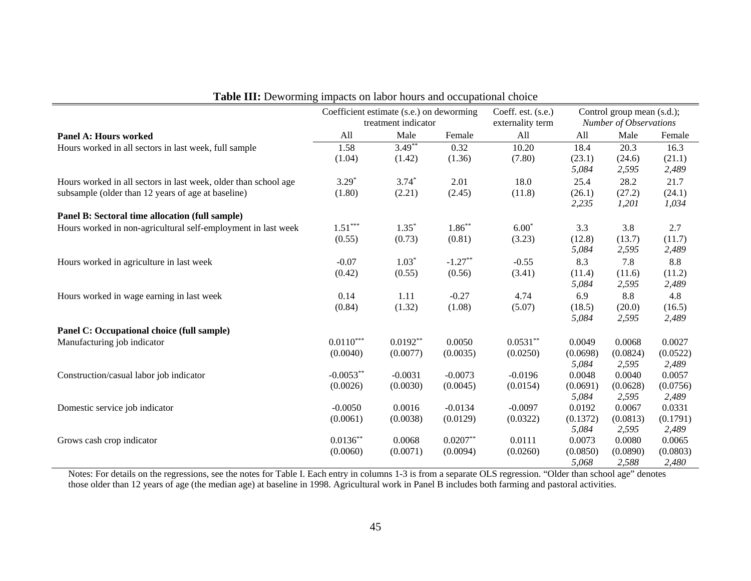|                                                                 |             | Coefficient estimate (s.e.) on deworming<br>treatment indicator |            | Coeff. est. (s.e.)<br>externality term | Control group mean (s.d.);<br>Number of Observations |                   |                   |
|-----------------------------------------------------------------|-------------|-----------------------------------------------------------------|------------|----------------------------------------|------------------------------------------------------|-------------------|-------------------|
| <b>Panel A: Hours worked</b>                                    | All         | Male                                                            | Female     | All                                    | All                                                  | Male              | Female            |
| Hours worked in all sectors in last week, full sample           | 1.58        | $3.49**$                                                        | 0.32       | 10.20                                  | 18.4                                                 | 20.3              | 16.3              |
|                                                                 | (1.04)      | (1.42)                                                          | (1.36)     | (7.80)                                 | (23.1)<br>5,084                                      | (24.6)<br>2,595   | (21.1)<br>2,489   |
| Hours worked in all sectors in last week, older than school age | $3.29*$     | $3.74*$                                                         | 2.01       | 18.0                                   | 25.4                                                 | 28.2              | 21.7              |
| subsample (older than 12 years of age at baseline)              | (1.80)      | (2.21)                                                          | (2.45)     | (11.8)                                 | (26.1)<br>2,235                                      | (27.2)<br>1,201   | (24.1)<br>1,034   |
| Panel B: Sectoral time allocation (full sample)                 |             |                                                                 |            |                                        |                                                      |                   |                   |
| Hours worked in non-agricultural self-employment in last week   | $1.51***$   | $1.35*$                                                         | $1.86***$  | $6.00*$                                | 3.3                                                  | 3.8               | 2.7               |
|                                                                 | (0.55)      | (0.73)                                                          | (0.81)     | (3.23)                                 | (12.8)<br>5,084                                      | (13.7)<br>2,595   | (11.7)<br>2,489   |
| Hours worked in agriculture in last week                        | $-0.07$     | $1.03*$                                                         | $-1.27***$ | $-0.55$                                | 8.3                                                  | 7.8               | 8.8               |
|                                                                 | (0.42)      | (0.55)                                                          | (0.56)     | (3.41)                                 | (11.4)<br>5,084                                      | (11.6)<br>2,595   | (11.2)<br>2,489   |
| Hours worked in wage earning in last week                       | 0.14        | 1.11                                                            | $-0.27$    | 4.74                                   | 6.9                                                  | 8.8               | 4.8               |
|                                                                 | (0.84)      | (1.32)                                                          | (1.08)     | (5.07)                                 | (18.5)<br>5,084                                      | (20.0)<br>2,595   | (16.5)<br>2,489   |
| Panel C: Occupational choice (full sample)                      |             |                                                                 |            |                                        |                                                      |                   |                   |
| Manufacturing job indicator                                     | $0.0110***$ | $0.0192**$                                                      | 0.0050     | $0.0531**$                             | 0.0049                                               | 0.0068            | 0.0027            |
|                                                                 | (0.0040)    | (0.0077)                                                        | (0.0035)   | (0.0250)                               | (0.0698)<br>5,084                                    | (0.0824)<br>2,595 | (0.0522)<br>2,489 |
| Construction/casual labor job indicator                         | $-0.0053**$ | $-0.0031$                                                       | $-0.0073$  | $-0.0196$                              | 0.0048                                               | 0.0040            | 0.0057            |
|                                                                 | (0.0026)    | (0.0030)                                                        | (0.0045)   | (0.0154)                               | (0.0691)                                             | (0.0628)          | (0.0756)          |
|                                                                 |             |                                                                 |            |                                        | 5,084                                                | 2,595             | 2,489             |
| Domestic service job indicator                                  | $-0.0050$   | 0.0016                                                          | $-0.0134$  | $-0.0097$                              | 0.0192                                               | 0.0067            | 0.0331            |
|                                                                 | (0.0061)    | (0.0038)                                                        | (0.0129)   | (0.0322)                               | (0.1372)                                             | (0.0813)          | (0.1791)          |
|                                                                 | $0.0136**$  | 0.0068                                                          | $0.0207**$ | 0.0111                                 | 5,084<br>0.0073                                      | 2,595<br>0.0080   | 2,489<br>0.0065   |
| Grows cash crop indicator                                       | (0.0060)    | (0.0071)                                                        | (0.0094)   | (0.0260)                               | (0.0850)                                             | (0.0890)          | (0.0803)          |
|                                                                 |             |                                                                 |            |                                        | 5,068                                                | 2,588             | 2,480             |

Table III: Deworming impacts on labor hours and occupational choice

Notes: For details on the regressions, see the notes for Table I. Each entry in columns 1-3 is from a separate OLS regression. "Older than school age" denotes those older than 12 years of age (the median age) at baseline in 1998. Agricultural work in Panel B includes both farming and pastoral activities.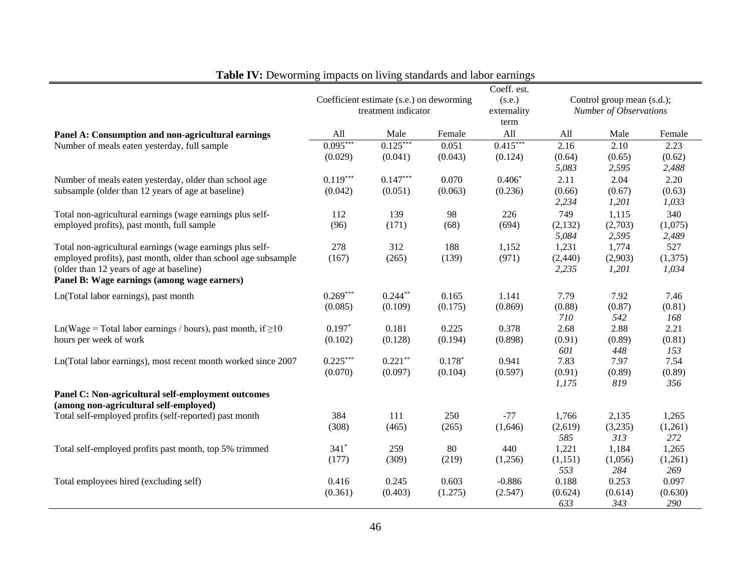|                                                                                                                                                           |            | Coefficient estimate (s.e.) on deworming<br>treatment indicator |                  | Coeff. est.<br>(s.e.)<br>externality<br>term |                  |                  | Control group mean (s.d.);<br>Number of Observations |  |
|-----------------------------------------------------------------------------------------------------------------------------------------------------------|------------|-----------------------------------------------------------------|------------------|----------------------------------------------|------------------|------------------|------------------------------------------------------|--|
| Panel A: Consumption and non-agricultural earnings                                                                                                        | All        | Male                                                            | Female           | All                                          | All              | Male             | Female                                               |  |
| Number of meals eaten yesterday, full sample                                                                                                              | $0.095***$ | $0.125***$                                                      | 0.051            | $0.415***$                                   | 2.16             | 2.10             | 2.23                                                 |  |
|                                                                                                                                                           | (0.029)    | (0.041)                                                         | (0.043)          | (0.124)                                      | (0.64)<br>5,083  | (0.65)<br>2,595  | (0.62)<br>2,488                                      |  |
| Number of meals eaten yesterday, older than school age                                                                                                    | $0.119***$ | $0.147***$                                                      | 0.070            | $0.406*$                                     | 2.11             | 2.04             | 2.20                                                 |  |
| subsample (older than 12 years of age at baseline)                                                                                                        | (0.042)    | (0.051)                                                         | (0.063)          | (0.236)                                      | (0.66)<br>2,234  | (0.67)<br>1,201  | (0.63)<br>1,033                                      |  |
| Total non-agricultural earnings (wage earnings plus self-                                                                                                 | 112        | 139                                                             | 98               | 226                                          | 749              | 1,115            | 340                                                  |  |
| employed profits), past month, full sample                                                                                                                | (96)       | (171)                                                           | (68)             | (694)                                        | (2,132)<br>5,084 | (2,703)<br>2,595 | (1,075)<br>2,489                                     |  |
| Total non-agricultural earnings (wage earnings plus self-                                                                                                 | 278        | 312                                                             | 188              | 1,152                                        | 1,231            | 1,774            | 527                                                  |  |
| employed profits), past month, older than school age subsample<br>(older than 12 years of age at baseline)<br>Panel B: Wage earnings (among wage earners) | (167)      | (265)                                                           | (139)            | (971)                                        | (2,440)<br>2,235 | (2,903)<br>1,201 | (1,375)<br>1,034                                     |  |
|                                                                                                                                                           | $0.269***$ |                                                                 |                  |                                              |                  |                  |                                                      |  |
| Ln(Total labor earnings), past month                                                                                                                      | (0.085)    | $0.244**$<br>(0.109)                                            | 0.165<br>(0.175) | 1.141<br>(0.869)                             | 7.79<br>(0.88)   | 7.92<br>(0.87)   | 7.46<br>(0.81)                                       |  |
|                                                                                                                                                           |            |                                                                 |                  |                                              | 710              | 542              | 168                                                  |  |
| Ln(Wage = Total labor earnings / hours), past month, if $\geq 10$                                                                                         | $0.197*$   | 0.181                                                           | 0.225            | 0.378                                        | 2.68             | 2.88             | 2.21                                                 |  |
| hours per week of work                                                                                                                                    | (0.102)    | (0.128)                                                         | (0.194)          | (0.898)                                      | (0.91)<br>601    | (0.89)<br>448    | (0.81)<br>153                                        |  |
| Ln(Total labor earnings), most recent month worked since 2007                                                                                             | $0.225***$ | $0.221***$                                                      | $0.178*$         | 0.941                                        | 7.83             | 7.97             | 7.54                                                 |  |
|                                                                                                                                                           | (0.070)    | (0.097)                                                         | (0.104)          | (0.597)                                      | (0.91)<br>1,175  | (0.89)<br>819    | (0.89)<br>356                                        |  |
| Panel C: Non-agricultural self-employment outcomes<br>(among non-agricultural self-employed)                                                              |            |                                                                 |                  |                                              |                  |                  |                                                      |  |
| Total self-employed profits (self-reported) past month                                                                                                    | 384        | 111                                                             | 250              | $-77$                                        | 1,766            | 2,135            | 1,265                                                |  |
|                                                                                                                                                           | (308)      | (465)                                                           | (265)            | (1,646)                                      | (2,619)<br>585   | (3,235)<br>313   | (1,261)<br>272                                       |  |
| Total self-employed profits past month, top 5% trimmed                                                                                                    | $341*$     | 259                                                             | 80               | 440                                          | 1,221            | 1,184            | 1,265                                                |  |
|                                                                                                                                                           | (177)      | (309)                                                           | (219)            | (1,256)                                      | (1,151)<br>553   | (1,056)<br>284   | (1,261)<br>269                                       |  |
| Total employees hired (excluding self)                                                                                                                    | 0.416      | 0.245                                                           | 0.603            | $-0.886$                                     | 0.188            | 0.253            | 0.097                                                |  |
|                                                                                                                                                           | (0.361)    | (0.403)                                                         | (1.275)          | (2.547)                                      | (0.624)<br>633   | (0.614)<br>343   | (0.630)<br>290                                       |  |

# Table IV: Deworming impacts on living standards and labor earnings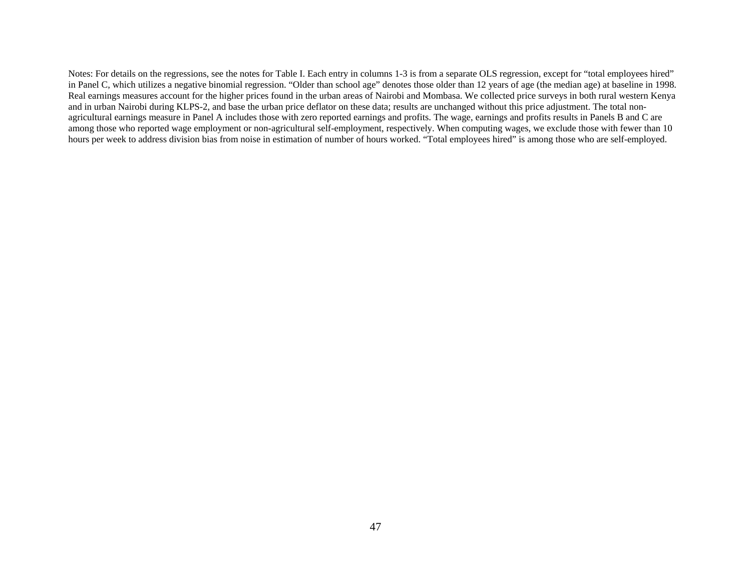Notes: For details on the regressions, see the notes for Table I. Each entry in columns 1-3 is from a separate OLS regression, except for "total employees hired" in Panel C, which utilizes a negative binomial regression. "Older than school age" denotes those older than 12 years of age (the median age) at baseline in 1998. Real earnings measures account for the higher prices found in the urban areas of Nairobi and Mombasa. We collected price surveys in both rural western Kenya and in urban Nairobi during KLPS-2, and base the urban price deflator on these data; results are unchanged without this price adjustment. The total nonagricultural earnings measure in Panel A includes those with zero reported earnings and profits. The wage, earnings and profits results in Panels B and C are among those who reported wage employment or non-agricultural self-employment, respectively. When computing wages, we exclude those with fewer than 10 hours per week to address division bias from noise in estimation of number of hours worked. "Total employees hired" is among those who are self-employed.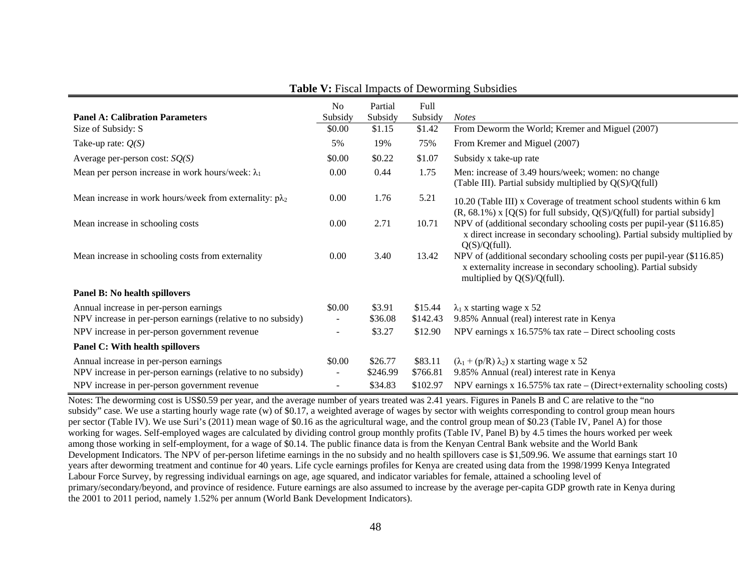|                                                                 | N <sub>o</sub>           | Partial  | Full     |                                                                                                                                                                             |
|-----------------------------------------------------------------|--------------------------|----------|----------|-----------------------------------------------------------------------------------------------------------------------------------------------------------------------------|
| <b>Panel A: Calibration Parameters</b>                          | Subsidy                  | Subsidy  | Subsidy  | <b>Notes</b>                                                                                                                                                                |
| Size of Subsidy: S                                              | \$0.00                   | \$1.15   | \$1.42   | From Deworm the World; Kremer and Miguel (2007)                                                                                                                             |
| Take-up rate: $Q(S)$                                            | 5%                       | 19%      | 75%      | From Kremer and Miguel (2007)                                                                                                                                               |
| Average per-person cost: $SQ(S)$                                | \$0.00                   | \$0.22   | \$1.07   | Subsidy x take-up rate                                                                                                                                                      |
| Mean per person increase in work hours/week: $\lambda_1$        | 0.00                     | 0.44     | 1.75     | Men: increase of 3.49 hours/week; women: no change<br>(Table III). Partial subsidy multiplied by $Q(S)/Q(full)$ )                                                           |
| Mean increase in work hours/week from externality: $p\lambda_2$ | 0.00                     | 1.76     | 5.21     | 10.20 (Table III) x Coverage of treatment school students within 6 km<br>$(R, 68.1\%)$ x $[Q(S)$ for full subsidy, $Q(S)/Q(full)$ for partial subsidy]                      |
| Mean increase in schooling costs                                | 0.00                     | 2.71     | 10.71    | NPV of (additional secondary schooling costs per pupil-year (\$116.85)<br>x direct increase in secondary schooling). Partial subsidy multiplied by<br>$Q(S)/Q(full)$ .      |
| Mean increase in schooling costs from externality               | 0.00                     | 3.40     | 13.42    | NPV of (additional secondary schooling costs per pupil-year (\$116.85)<br>x externality increase in secondary schooling). Partial subsidy<br>multiplied by $Q(S)/Q(full)$ . |
| Panel B: No health spillovers                                   |                          |          |          |                                                                                                                                                                             |
| Annual increase in per-person earnings                          | \$0.00                   | \$3.91   | \$15.44  | $\lambda_1$ x starting wage x 52                                                                                                                                            |
| NPV increase in per-person earnings (relative to no subsidy)    | $\overline{\phantom{0}}$ | \$36.08  | \$142.43 | 9.85% Annual (real) interest rate in Kenya                                                                                                                                  |
| NPV increase in per-person government revenue                   |                          | \$3.27   | \$12.90  | NPV earnings $x$ 16.575% tax rate – Direct schooling costs                                                                                                                  |
| Panel C: With health spillovers                                 |                          |          |          |                                                                                                                                                                             |
| Annual increase in per-person earnings                          | \$0.00                   | \$26.77  | \$83.11  | $(\lambda_1 + (p/R) \lambda_2)$ x starting wage x 52                                                                                                                        |
| NPV increase in per-person earnings (relative to no subsidy)    | $\blacksquare$           | \$246.99 | \$766.81 | 9.85% Annual (real) interest rate in Kenya                                                                                                                                  |
| NPV increase in per-person government revenue                   | ٠                        | \$34.83  | \$102.97 | NPV earnings $x$ 16.575% tax rate – (Direct+externality schooling costs)                                                                                                    |

#### **Table V:** Fiscal Impacts of Deworming Subsidies

Notes: The deworming cost is US\$0.59 per year, and the average number of years treated was 2.41 years. Figures in Panels B and C are relative to the "no subsidy" case. We use a starting hourly wage rate (w) of \$0.17, a weighted average of wages by sector with weights corresponding to control group mean hours per sector (Table IV). We use Suri's (2011) mean wage of \$0.16 as the agricultural wage, and the control group mean of \$0.23 (Table IV, Panel A) for those working for wages. Self-employed wages are calculated by dividing control group monthly profits (Table IV, Panel B) by 4.5 times the hours worked per week among those working in self-employment, for a wage of \$0.14. The public finance data is from the Kenyan Central Bank website and the World Bank Development Indicators. The NPV of per-person lifetime earnings in the no subsidy and no health spillovers case is \$1,509.96. We assume that earnings start 10 years after deworming treatment and continue for 40 years. Life cycle earnings profiles for Kenya are created using data from the 1998/1999 Kenya Integrated Labour Force Survey, by regressing individual earnings on age, age squared, and indicator variables for female, attained a schooling level of primary/secondary/beyond, and province of residence. Future earnings are also assumed to increase by the average per-capita GDP growth rate in Kenya during the 2001 to 2011 period, namely 1.52% per annum (World Bank Development Indicators).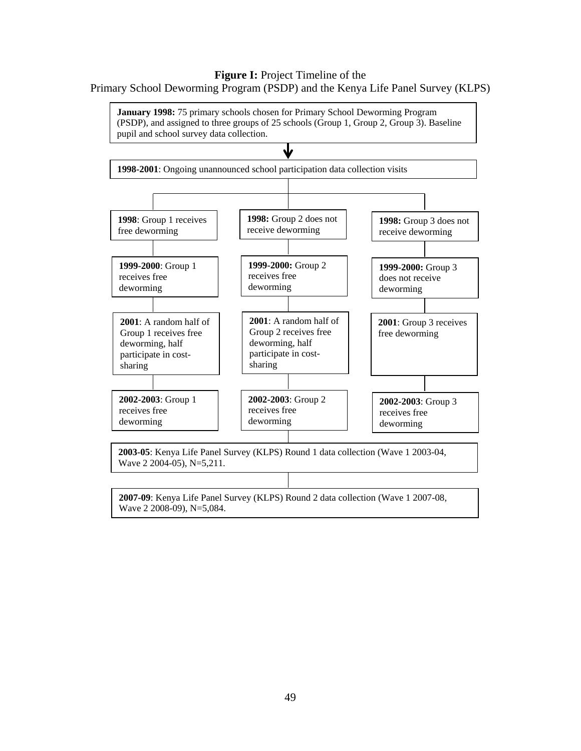## **Figure I:** Project Timeline of the Primary School Deworming Program (PSDP) and the Kenya Life Panel Survey (KLPS)

**January 1998:** 75 primary schools chosen for Primary School Deworming Program (PSDP), and assigned to three groups of 25 schools (Group 1, Group 2, Group 3). Baseline pupil and school survey data collection.